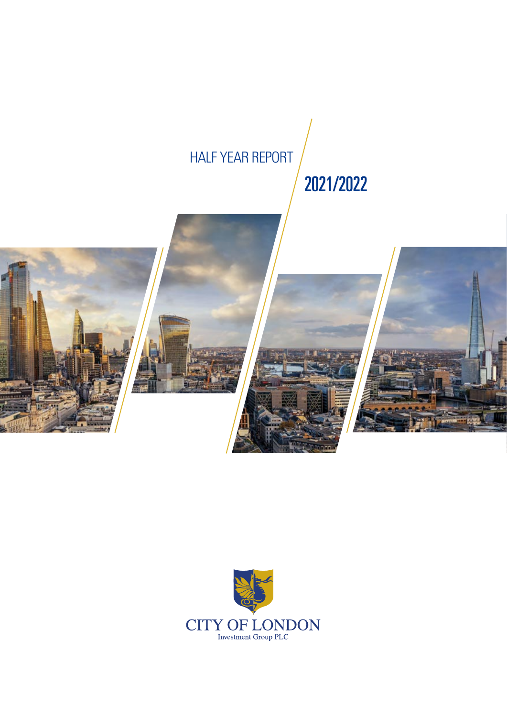# HALF YEAR REPORT

# 2021/2022



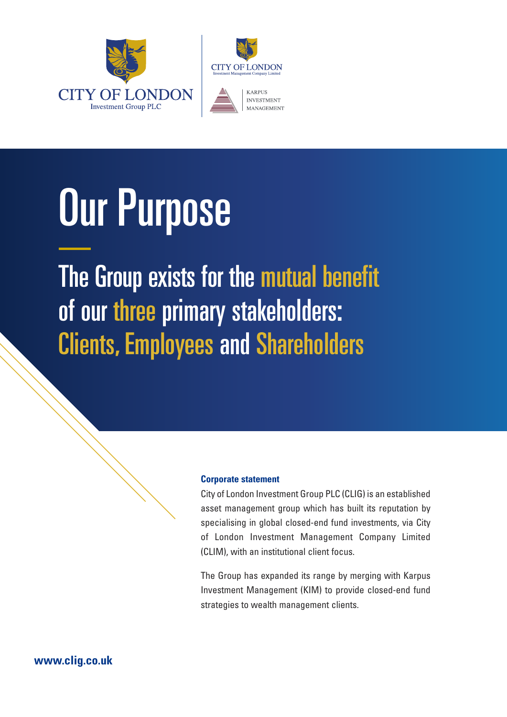



# Our Purpose

The Group exists for the mutual benefit of our three primary stakeholders: Clients, Employees and Shareholders

# **Corporate statement**

City of London Investment Group PLC (CLIG) is an established asset management group which has built its reputation by specialising in global closed-end fund investments, via City of London Investment Management Company Limited (CLIM), with an institutional client focus.

The Group has expanded its range by merging with Karpus Investment Management (KIM) to provide closed-end fund strategies to wealth management clients.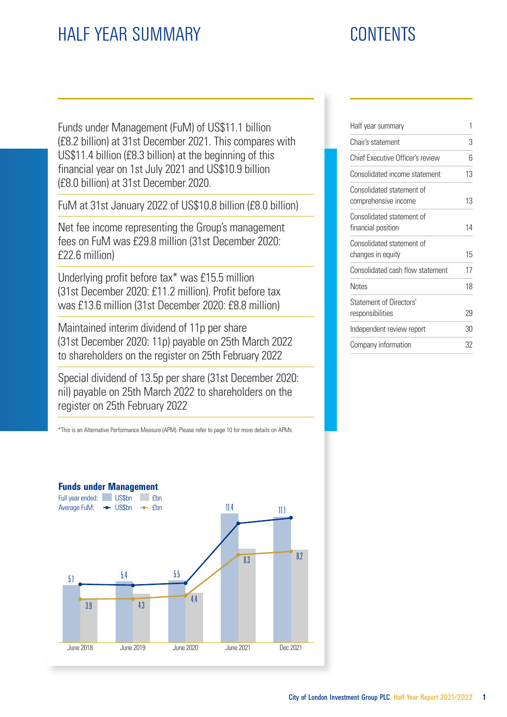# HALF YEAR SUMMARY CONTENTS

Funds under Management (FuM) of US\$11.1 billion (£8.2 billion) at 31st December 2021. This compares with US\$11.4 billion (£8.3 billion) at the beginning of this financial year on 1st July 2021 and US\$10.9 billion (£8.0 billion) at 31st December 2020.

FuM at 31st January 2022 of US\$10.8 billion (£8.0 billion)

Net fee income representing the Group's management fees on FuM was £29.8 million (31st December 2020: £22.6 million)

Underlying profit before tax\* was £15.5 million (31st December 2020: £11.2 million). Profit before tax was £13.6 million (31st December 2020: £8.8 million)

Maintained interim dividend of 11p per share (31st December 2020: 11p) payable on 25th March 2022 to shareholders on the register on 25th February 2022

Special dividend of 13.5p per share (31st December 2020: nil) payable on 25th March 2022 to shareholders on the register on 25th February 2022

\*This is an Alternative Performance Measure (APM). Please refer to page 10 for more details on APMs.



| 1  |
|----|
| 3  |
| հ  |
| 13 |
| 13 |
| 14 |
| 15 |
| 17 |
| 18 |
| 29 |
| 30 |
| 32 |
|    |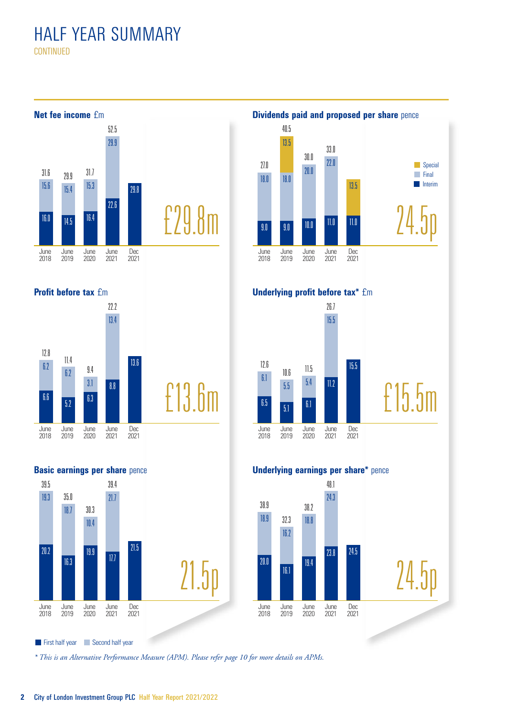# HALF YEAR SUMMARY **CONTINUED**

June 2018 June 2019 June 2020 June 2021 Dec 2021 June 2018 June 2019 June 2020 June 2021 Dec 2021 June 2018 June  $2010$ June 2020 June 2021 Dec 2021 June 2018 June 2019 June 2020 June 2021 Dec 2021 June 2018 June 2019 June 2020 June 2021 Dec 2021 June 2018 June 2019 June 2020 June 2021 Dec 2021 £29.8m 15.6 15.4 15.3 29.9 **62** 6.2 13.4 3.1 6.6  $\frac{1}{5.2}$  6.3 13.6 8.8 16.0 14.5 16.4 29.8  $22.6$ **Net fee income** £m £13.6m **Profit before tax fm** £15.5m 19.3 21.7 35.0 18.7 10.4  $\overline{20.2}$ 16.3 19.9 21.5 17.7 6.1 5.5 5.4 15.5 6.5  $\frac{1}{5.1}$  6.1 15.5  $11.2$ **Underlying profit before tax\*** £m 21.5p **Basic earnings per share pence** 24.5p 18.0 18.0 20.0  $22.0$ 9.0 9.0 13.5 13.5 10.0 11.0 11.0 18.9 16.2 18.8 24.3 20.0 16.1 19.4 23.8 24.5 **Underlying earnings per share\*** pence 24.5p **Dividends paid and proposed per share** pence 27.0 40.5 30.0 33.0 **Special Final Interim** 31.6 12.8 39.5 30.3 39.4 11.4 9.4 22.2  $79.9$   $31.7$ 52.5 12.6  $10.6$  11.5 26.7 38.9 32.3 38.2 48.1

*\* This is an Alternative Performance Measure (APM). Please refer page 10 for more details on APMs.*

First half year Second half year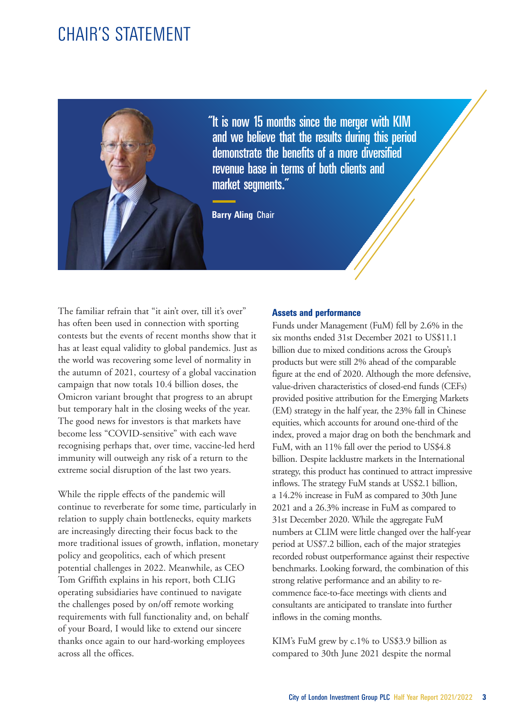# CHAIR'S STATEMENT



"It is now 15 months since the merger with KIM and we believe that the results during this period demonstrate the benefits of a more diversified revenue base in terms of both clients and market segments."

**Barry Aling** Chair

The familiar refrain that "it ain't over, till it's over" has often been used in connection with sporting contests but the events of recent months show that it has at least equal validity to global pandemics. Just as the world was recovering some level of normality in the autumn of 2021, courtesy of a global vaccination campaign that now totals 10.4 billion doses, the Omicron variant brought that progress to an abrupt but temporary halt in the closing weeks of the year. The good news for investors is that markets have become less "COVID-sensitive" with each wave recognising perhaps that, over time, vaccine-led herd immunity will outweigh any risk of a return to the extreme social disruption of the last two years.

While the ripple effects of the pandemic will continue to reverberate for some time, particularly in relation to supply chain bottlenecks, equity markets are increasingly directing their focus back to the more traditional issues of growth, inflation, monetary policy and geopolitics, each of which present potential challenges in 2022. Meanwhile, as CEO Tom Griffith explains in his report, both CLIG operating subsidiaries have continued to navigate the challenges posed by on/off remote working requirements with full functionality and, on behalf of your Board, I would like to extend our sincere thanks once again to our hard-working employees across all the offices.

# **Assets and performance**

Funds under Management (FuM) fell by 2.6% in the six months ended 31st December 2021 to US\$11.1 billion due to mixed conditions across the Group's products but were still 2% ahead of the comparable figure at the end of 2020. Although the more defensive, value-driven characteristics of closed-end funds (CEFs) provided positive attribution for the Emerging Markets (EM) strategy in the half year, the 23% fall in Chinese equities, which accounts for around one-third of the index, proved a major drag on both the benchmark and FuM, with an 11% fall over the period to US\$4.8 billion. Despite lacklustre markets in the International strategy, this product has continued to attract impressive inflows. The strategy FuM stands at US\$2.1 billion, a 14.2% increase in FuM as compared to 30th June 2021 and a 26.3% increase in FuM as compared to 31st December 2020. While the aggregate FuM numbers at CLIM were little changed over the half-year period at US\$7.2 billion, each of the major strategies recorded robust outperformance against their respective benchmarks. Looking forward, the combination of this strong relative performance and an ability to recommence face-to-face meetings with clients and consultants are anticipated to translate into further inflows in the coming months.

KIM's FuM grew by c.1% to US\$3.9 billion as compared to 30th June 2021 despite the normal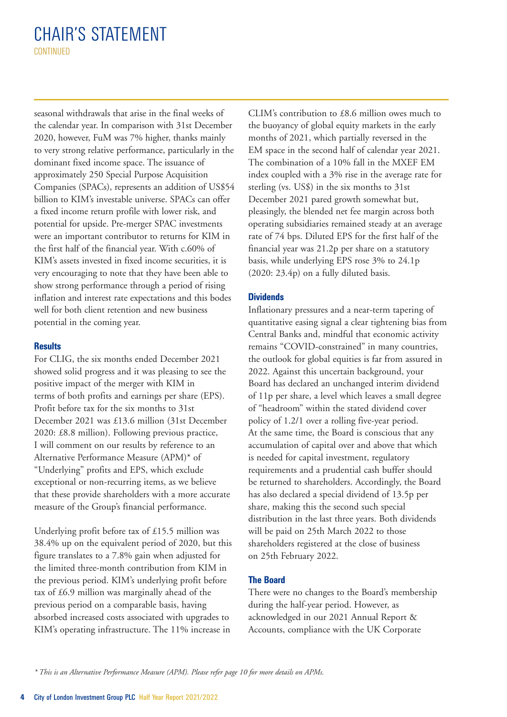# CHAIR'S STATEMENT **CONTINUED**

seasonal withdrawals that arise in the final weeks of the calendar year. In comparison with 31st December 2020, however, FuM was 7% higher, thanks mainly to very strong relative performance, particularly in the dominant fixed income space. The issuance of approximately 250 Special Purpose Acquisition Companies (SPACs), represents an addition of US\$54 billion to KIM's investable universe. SPACs can offer a fixed income return profile with lower risk, and potential for upside. Pre-merger SPAC investments were an important contributor to returns for KIM in the first half of the financial year. With c.60% of KIM's assets invested in fixed income securities, it is very encouraging to note that they have been able to show strong performance through a period of rising inflation and interest rate expectations and this bodes well for both client retention and new business potential in the coming year.

## **Results**

For CLIG, the six months ended December 2021 showed solid progress and it was pleasing to see the positive impact of the merger with KIM in terms of both profits and earnings per share (EPS). Profit before tax for the six months to 31st December 2021 was £13.6 million (31st December 2020: £8.8 million). Following previous practice, I will comment on our results by reference to an Alternative Performance Measure (APM)\* of "Underlying" profits and EPS, which exclude exceptional or non-recurring items, as we believe that these provide shareholders with a more accurate measure of the Group's financial performance.

Underlying profit before tax of £15.5 million was 38.4% up on the equivalent period of 2020, but this figure translates to a 7.8% gain when adjusted for the limited three-month contribution from KIM in the previous period. KIM's underlying profit before tax of £6.9 million was marginally ahead of the previous period on a comparable basis, having absorbed increased costs associated with upgrades to KIM's operating infrastructure. The 11% increase in

CLIM's contribution to £8.6 million owes much to the buoyancy of global equity markets in the early months of 2021, which partially reversed in the EM space in the second half of calendar year 2021. The combination of a 10% fall in the MXEF EM index coupled with a 3% rise in the average rate for sterling (vs. US\$) in the six months to 31st December 2021 pared growth somewhat but, pleasingly, the blended net fee margin across both operating subsidiaries remained steady at an average rate of 74 bps. Diluted EPS for the first half of the financial year was 21.2p per share on a statutory basis, while underlying EPS rose 3% to 24.1p (2020: 23.4p) on a fully diluted basis.

# **Dividends**

Inflationary pressures and a near-term tapering of quantitative easing signal a clear tightening bias from Central Banks and, mindful that economic activity remains "COVID-constrained" in many countries, the outlook for global equities is far from assured in 2022. Against this uncertain background, your Board has declared an unchanged interim dividend of 11p per share, a level which leaves a small degree of "headroom" within the stated dividend cover policy of 1.2/1 over a rolling five-year period. At the same time, the Board is conscious that any accumulation of capital over and above that which is needed for capital investment, regulatory requirements and a prudential cash buffer should be returned to shareholders. Accordingly, the Board has also declared a special dividend of 13.5p per share, making this the second such special distribution in the last three years. Both dividends will be paid on 25th March 2022 to those shareholders registered at the close of business on 25th February 2022.

## **The Board**

There were no changes to the Board's membership during the half-year period. However, as acknowledged in our 2021 Annual Report & Accounts, compliance with the UK Corporate

*\* This is an Alternative Performance Measure (APM). Please refer page 10 for more details on APMs.*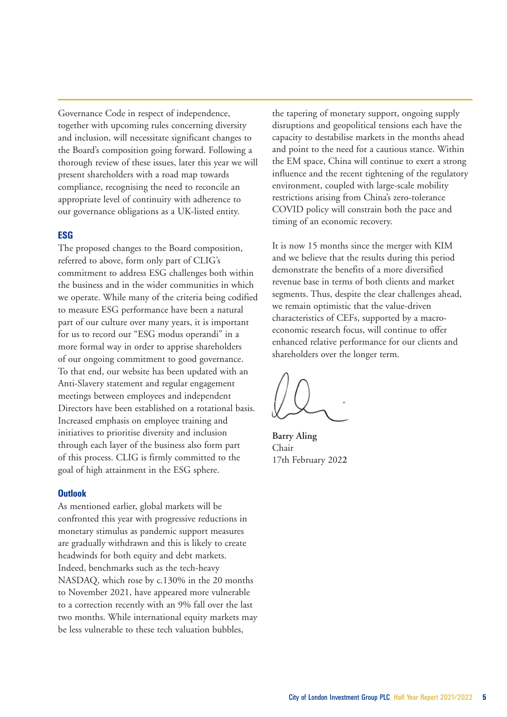Governance Code in respect of independence, together with upcoming rules concerning diversity and inclusion, will necessitate significant changes to the Board's composition going forward. Following a thorough review of these issues, later this year we will present shareholders with a road map towards compliance, recognising the need to reconcile an appropriate level of continuity with adherence to our governance obligations as a UK-listed entity.

# **ESG**

The proposed changes to the Board composition, referred to above, form only part of CLIG's commitment to address ESG challenges both within the business and in the wider communities in which we operate. While many of the criteria being codified to measure ESG performance have been a natural part of our culture over many years, it is important for us to record our "ESG modus operandi" in a more formal way in order to apprise shareholders of our ongoing commitment to good governance. To that end, our website has been updated with an Anti-Slavery statement and regular engagement meetings between employees and independent Directors have been established on a rotational basis. Increased emphasis on employee training and initiatives to prioritise diversity and inclusion through each layer of the business also form part of this process. CLIG is firmly committed to the goal of high attainment in the ESG sphere.

## **Outlook**

As mentioned earlier, global markets will be confronted this year with progressive reductions in monetary stimulus as pandemic support measures are gradually withdrawn and this is likely to create headwinds for both equity and debt markets. Indeed, benchmarks such as the tech-heavy NASDAQ, which rose by c.130% in the 20 months to November 2021, have appeared more vulnerable to a correction recently with an 9% fall over the last two months. While international equity markets may be less vulnerable to these tech valuation bubbles,

the tapering of monetary support, ongoing supply disruptions and geopolitical tensions each have the capacity to destabilise markets in the months ahead and point to the need for a cautious stance. Within the EM space, China will continue to exert a strong influence and the recent tightening of the regulatory environment, coupled with large-scale mobility restrictions arising from China's zero-tolerance COVID policy will constrain both the pace and timing of an economic recovery.

It is now 15 months since the merger with KIM and we believe that the results during this period demonstrate the benefits of a more diversified revenue base in terms of both clients and market segments. Thus, despite the clear challenges ahead, we remain optimistic that the value-driven characteristics of CEFs, supported by a macroeconomic research focus, will continue to offer enhanced relative performance for our clients and shareholders over the longer term.

**Barry Aling** Chair 17th February 202**2**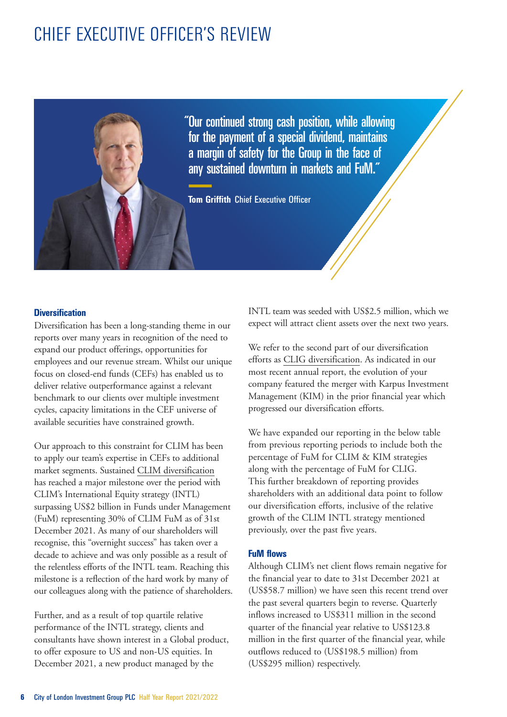# CHIEF EXECUTIVE OFFICER'S REVIEW



"Our continued strong cash position, while allowing for the payment of a special dividend, maintains a margin of safety for the Group in the face of any sustained downturn in markets and FuM."

**Tom Griffith** Chief Executive Officer

# **Diversification**

Diversification has been a long-standing theme in our reports over many years in recognition of the need to expand our product offerings, opportunities for employees and our revenue stream. Whilst our unique focus on closed-end funds (CEFs) has enabled us to deliver relative outperformance against a relevant benchmark to our clients over multiple investment cycles, capacity limitations in the CEF universe of available securities have constrained growth.

Our approach to this constraint for CLIM has been to apply our team's expertise in CEFs to additional market segments. Sustained CLIM diversification has reached a major milestone over the period with CLIM's International Equity strategy (INTL) surpassing US\$2 billion in Funds under Management (FuM) representing 30% of CLIM FuM as of 31st December 2021. As many of our shareholders will recognise, this "overnight success" has taken over a decade to achieve and was only possible as a result of the relentless efforts of the INTL team. Reaching this milestone is a reflection of the hard work by many of our colleagues along with the patience of shareholders.

Further, and as a result of top quartile relative performance of the INTL strategy, clients and consultants have shown interest in a Global product, to offer exposure to US and non-US equities. In December 2021, a new product managed by the

INTL team was seeded with US\$2.5 million, which we expect will attract client assets over the next two years.

We refer to the second part of our diversification efforts as CLIG diversification. As indicated in our most recent annual report, the evolution of your company featured the merger with Karpus Investment Management (KIM) in the prior financial year which progressed our diversification efforts.

We have expanded our reporting in the below table from previous reporting periods to include both the percentage of FuM for CLIM & KIM strategies along with the percentage of FuM for CLIG. This further breakdown of reporting provides shareholders with an additional data point to follow our diversification efforts, inclusive of the relative growth of the CLIM INTL strategy mentioned previously, over the past five years.

## **FuM flows**

Although CLIM's net client flows remain negative for the financial year to date to 31st December 2021 at (US\$58.7 million) we have seen this recent trend over the past several quarters begin to reverse. Quarterly inflows increased to US\$311 million in the second quarter of the financial year relative to US\$123.8 million in the first quarter of the financial year, while outflows reduced to (US\$198.5 million) from (US\$295 million) respectively.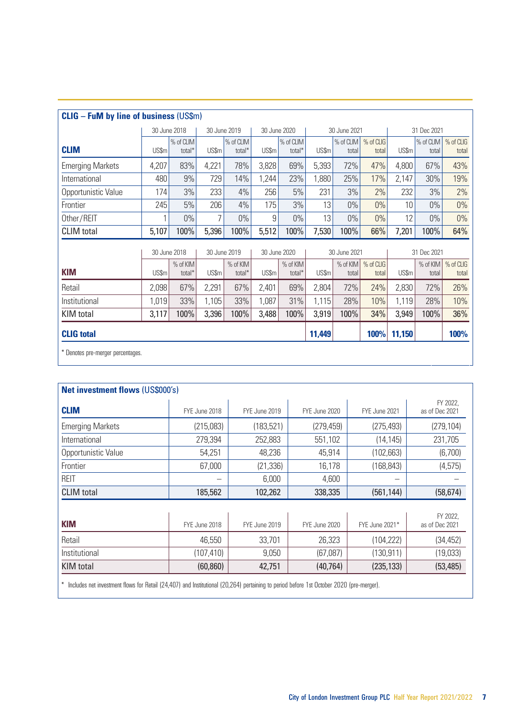| <b>CLIG - FuM by line of business (US\$m)</b> |              |                     |       |                     |       |                     |              |                    |                    |             |                    |                    |
|-----------------------------------------------|--------------|---------------------|-------|---------------------|-------|---------------------|--------------|--------------------|--------------------|-------------|--------------------|--------------------|
|                                               |              | 30 June 2018        |       | 30 June 2019        |       | 30 June 2020        |              | 30 June 2021       |                    | 31 Dec 2021 |                    |                    |
| <b>CLIM</b>                                   | <b>US\$m</b> | % of CLIM<br>total* | US\$m | % of CLIM<br>total* | US\$m | % of CLIM<br>total* | US\$m        | % of CLIM<br>total | % of CLIG<br>total | US\$m       | % of CLIM<br>total | % of CLIG<br>total |
| <b>Emerging Markets</b>                       | 4,207        | 83%                 | 4,221 | 78%                 | 3,828 | 69%                 | 5,393        | 72%                | 47%                | 4.800       | 67%                | 43%                |
| International                                 | 480          | 9%                  | 729   | 14%                 | 1,244 | 23%                 | 1.880        | 25%                | 17%                | 2,147       | 30%                | 19%                |
| Opportunistic Value                           | 174          | 3%                  | 233   | 4%                  | 256   | 5%                  | 231          | 3%                 | 2%                 | 232         | 3%                 | 2%                 |
| Frontier                                      | 245          | 5%                  | 206   | 4%                  | 175   | 3%                  | 13           | $0\%$              | $0\%$              | 10          | $0\%$              | 0%                 |
| Other/REIT                                    | 1            | $0\%$               | 7     | $0\%$               | 9     | 0%                  | 13           | $0\%$              | $0\%$              | 12          | $0\%$              | $0\%$              |
| <b>CLIM</b> total                             | 5,107        | 100%                | 5,396 | 100%                | 5,512 | 100%                | 7,530        | 100%               | 66%                | 7,201       | 100%               | 64%                |
|                                               |              | 30 June 2018        |       | 30 June 2019        |       | 30 June 2020        | 30 June 2021 |                    |                    | 31 Dec 2021 |                    |                    |
| <b>KIM</b>                                    | <b>US\$m</b> | % of KIM<br>total*  | US\$m | % of KIM<br>total*  | US\$m | % of KIM<br>total*  | US\$m        | % of KIM<br>total  | % of CLIG<br>total | US\$m       | % of KIM<br>total  | % of CLIG<br>total |
| Retail                                        | 2.098        | 67%                 | 2,291 | 67%                 | 2,401 | 69%                 | 2.804        | 72%                | 24%                | 2,830       | 72%                | 26%                |
| Institutional                                 | 1.019        | 33%                 | 1.105 | 33%                 | 1.087 | 31%                 | 1,115        | 28%                | 10%                | 1,119       | 28%                | 10%                |
| <b>KIM</b> total                              | 3,117        | 100%                | 3,396 | 100%                | 3,488 | 100%                | 3,919        | 100%               | 34%                | 3,949       | 100%               | 36%                |
| <b>CLIG</b> total<br>100%<br>11,150<br>11,449 |              |                     |       |                     |       |                     |              |                    | 100%               |             |                    |                    |
| * Denotes pre-merger percentages.             |              |                     |       |                     |       |                     |              |                    |                    |             |                    |                    |

| Net investment flows (US\$000's) |               |                            |               |                |                            |  |  |  |  |  |  |
|----------------------------------|---------------|----------------------------|---------------|----------------|----------------------------|--|--|--|--|--|--|
| <b>CLIM</b>                      | FYE June 2018 | FY 2022.<br>as of Dec 2021 |               |                |                            |  |  |  |  |  |  |
| <b>Emerging Markets</b>          | (215,083)     | (183, 521)                 | (279, 459)    | (275, 493)     | (279, 104)                 |  |  |  |  |  |  |
| International                    | 279.394       | 252,883                    | 551,102       | (14, 145)      | 231.705                    |  |  |  |  |  |  |
| Opportunistic Value              | 54.251        | 48.236                     | 45.914        | (102, 663)     | (6,700)                    |  |  |  |  |  |  |
| Frontier                         | 67,000        | (21, 336)                  | 16.178        | (168, 843)     | (4,575)                    |  |  |  |  |  |  |
| <b>REIT</b>                      |               | 6.000                      | 4.600         |                |                            |  |  |  |  |  |  |
| <b>CLIM</b> total                | 185,562       | 102,262<br>338,335         |               | (561, 144)     | (58, 674)                  |  |  |  |  |  |  |
|                                  |               |                            |               |                |                            |  |  |  |  |  |  |
| <b>KIM</b>                       | FYE June 2018 | FYE June 2019              | FYE June 2020 | FYE June 2021* | FY 2022.<br>as of Dec 2021 |  |  |  |  |  |  |
| Retail                           | 46.550        | 33,701                     | 26,323        | (104, 222)     | (34, 452)                  |  |  |  |  |  |  |
| Institutional                    | (107, 410)    | 9.050                      | (67,087)      | (130, 911)     | (19,033)                   |  |  |  |  |  |  |
| <b>KIM</b> total                 | (60, 860)     | 42,751                     | (40, 764)     | (235, 133)     | (53, 485)                  |  |  |  |  |  |  |
|                                  |               |                            |               |                |                            |  |  |  |  |  |  |

\* Includes net investment flows for Retail (24,407) and Institutional (20,264) pertaining to period before 1st October 2020 (pre-merger).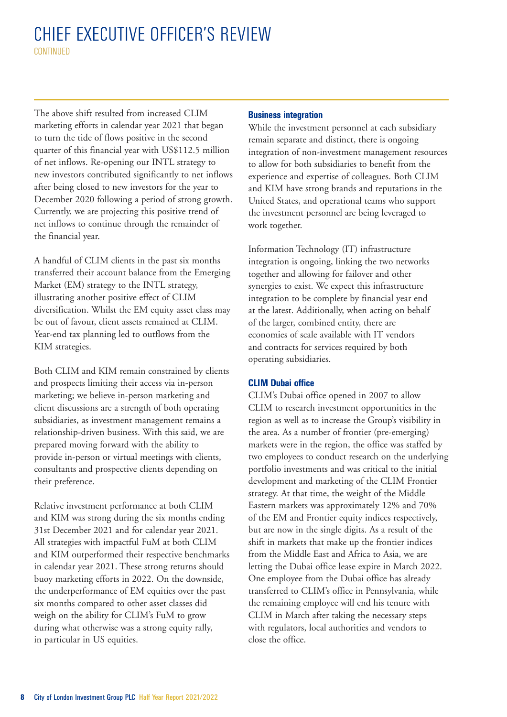# CHIEF EXECUTIVE OFFICER'S REVIEW **CONTINUED**

The above shift resulted from increased CLIM marketing efforts in calendar year 2021 that began to turn the tide of flows positive in the second quarter of this financial year with US\$112.5 million of net inflows. Re-opening our INTL strategy to new investors contributed significantly to net inflows after being closed to new investors for the year to December 2020 following a period of strong growth. Currently, we are projecting this positive trend of net inflows to continue through the remainder of the financial year.

A handful of CLIM clients in the past six months transferred their account balance from the Emerging Market (EM) strategy to the INTL strategy, illustrating another positive effect of CLIM diversification. Whilst the EM equity asset class may be out of favour, client assets remained at CLIM. Year-end tax planning led to outflows from the KIM strategies.

Both CLIM and KIM remain constrained by clients and prospects limiting their access via in-person marketing; we believe in-person marketing and client discussions are a strength of both operating subsidiaries, as investment management remains a relationship-driven business. With this said, we are prepared moving forward with the ability to provide in-person or virtual meetings with clients, consultants and prospective clients depending on their preference.

Relative investment performance at both CLIM and KIM was strong during the six months ending 31st December 2021 and for calendar year 2021. All strategies with impactful FuM at both CLIM and KIM outperformed their respective benchmarks in calendar year 2021. These strong returns should buoy marketing efforts in 2022. On the downside, the underperformance of EM equities over the past six months compared to other asset classes did weigh on the ability for CLIM's FuM to grow during what otherwise was a strong equity rally, in particular in US equities.

## **Business integration**

While the investment personnel at each subsidiary remain separate and distinct, there is ongoing integration of non-investment management resources to allow for both subsidiaries to benefit from the experience and expertise of colleagues. Both CLIM and KIM have strong brands and reputations in the United States, and operational teams who support the investment personnel are being leveraged to work together.

Information Technology (IT) infrastructure integration is ongoing, linking the two networks together and allowing for failover and other synergies to exist. We expect this infrastructure integration to be complete by financial year end at the latest. Additionally, when acting on behalf of the larger, combined entity, there are economies of scale available with IT vendors and contracts for services required by both operating subsidiaries.

# **CLIM Dubai office**

CLIM's Dubai office opened in 2007 to allow CLIM to research investment opportunities in the region as well as to increase the Group's visibility in the area. As a number of frontier (pre-emerging) markets were in the region, the office was staffed by two employees to conduct research on the underlying portfolio investments and was critical to the initial development and marketing of the CLIM Frontier strategy. At that time, the weight of the Middle Eastern markets was approximately 12% and 70% of the EM and Frontier equity indices respectively, but are now in the single digits. As a result of the shift in markets that make up the frontier indices from the Middle East and Africa to Asia, we are letting the Dubai office lease expire in March 2022. One employee from the Dubai office has already transferred to CLIM's office in Pennsylvania, while the remaining employee will end his tenure with CLIM in March after taking the necessary steps with regulators, local authorities and vendors to close the office.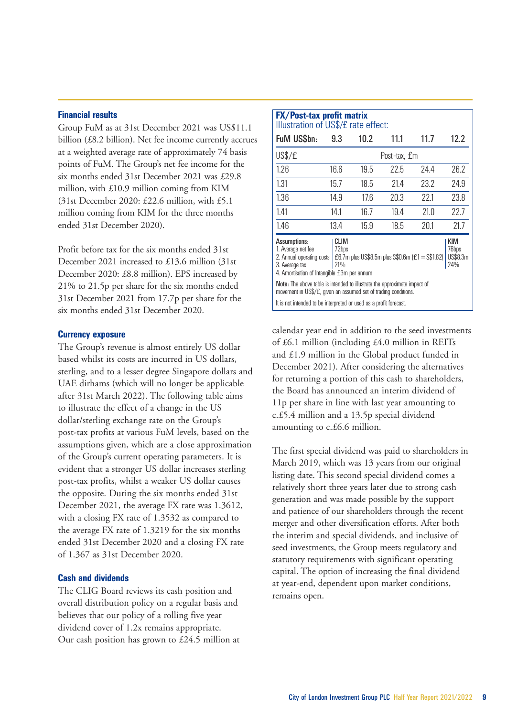#### **Financial results**

Group FuM as at 31st December 2021 was US\$11.1 billion (£8.2 billion). Net fee income currently accrues at a weighted average rate of approximately 74 basis points of FuM. The Group's net fee income for the six months ended 31st December 2021 was £29.8 million, with £10.9 million coming from KIM (31st December 2020: £22.6 million, with £5.1 million coming from KIM for the three months ended 31st December 2020).

Profit before tax for the six months ended 31st December 2021 increased to £13.6 million (31st December 2020: £8.8 million). EPS increased by 21% to 21.5p per share for the six months ended 31st December 2021 from 17.7p per share for the six months ended 31st December 2020.

#### **Currency exposure**

The Group's revenue is almost entirely US dollar based whilst its costs are incurred in US dollars, sterling, and to a lesser degree Singapore dollars and UAE dirhams (which will no longer be applicable after 31st March 2022). The following table aims to illustrate the effect of a change in the US dollar/sterling exchange rate on the Group's post-tax profits at various FuM levels, based on the assumptions given, which are a close approximation of the Group's current operating parameters. It is evident that a stronger US dollar increases sterling post-tax profits, whilst a weaker US dollar causes the opposite. During the six months ended 31st December 2021, the average FX rate was 1.3612, with a closing FX rate of 1.3532 as compared to the average FX rate of 1.3219 for the six months ended 31st December 2020 and a closing FX rate of 1.367 as 31st December 2020.

# **Cash and dividends**

The CLIG Board reviews its cash position and overall distribution policy on a regular basis and believes that our policy of a rolling five year dividend cover of 1.2x remains appropriate. Our cash position has grown to £24.5 million at

| <b>FX/Post-tax profit matrix</b><br>Illustration of US\$/£ rate effect:                                                                                                                                                                                                  |              |      |      |      |      |  |  |  |  |  |  |
|--------------------------------------------------------------------------------------------------------------------------------------------------------------------------------------------------------------------------------------------------------------------------|--------------|------|------|------|------|--|--|--|--|--|--|
| FuM US\$bn:                                                                                                                                                                                                                                                              | 9.3          | 10.2 | 11.1 | 11.7 | 12.2 |  |  |  |  |  |  |
| US\$/£                                                                                                                                                                                                                                                                   | Post-tax. £m |      |      |      |      |  |  |  |  |  |  |
| 1.26                                                                                                                                                                                                                                                                     | 16.6         | 19.5 | 22.5 | 24.4 | 26.2 |  |  |  |  |  |  |
| 1.31                                                                                                                                                                                                                                                                     | 15.7         | 18.5 | 21.4 | 23.2 | 24.9 |  |  |  |  |  |  |
| 1.36                                                                                                                                                                                                                                                                     | 14.9         | 17.6 | 20.3 | 22.1 | 23.8 |  |  |  |  |  |  |
| 1.41                                                                                                                                                                                                                                                                     | 14.1         | 16.7 | 19.4 | 21.0 | 22.7 |  |  |  |  |  |  |
| 1.46                                                                                                                                                                                                                                                                     | 13.4         | 15.9 | 18.5 | 20.1 | 21.7 |  |  |  |  |  |  |
| Assumptions:<br><b>CLIM</b><br><b>KIM</b><br>72bps<br>76bps<br>1. Average net fee<br>£6.7m plus US\$8.5m plus S\$0.6m (£1 = S\$1.82)<br>US\$8.3m<br>2. Annual operating costs<br>24%<br>21 <sub>%</sub><br>3. Average tax<br>4. Amortisation of Intangible £3m per annum |              |      |      |      |      |  |  |  |  |  |  |
| Note: The above table is intended to illustrate the approximate impact of<br>movement in US\$/£, given an assumed set of trading conditions.                                                                                                                             |              |      |      |      |      |  |  |  |  |  |  |
| It is not intended to be interpreted or used as a profit forecast.                                                                                                                                                                                                       |              |      |      |      |      |  |  |  |  |  |  |

calendar year end in addition to the seed investments of £6.1 million (including £4.0 million in REITs and £1.9 million in the Global product funded in December 2021). After considering the alternatives for returning a portion of this cash to shareholders, the Board has announced an interim dividend of 11p per share in line with last year amounting to c.£5.4 million and a 13.5p special dividend amounting to c.£6.6 million.

The first special dividend was paid to shareholders in March 2019, which was 13 years from our original listing date. This second special dividend comes a relatively short three years later due to strong cash generation and was made possible by the support and patience of our shareholders through the recent merger and other diversification efforts. After both the interim and special dividends, and inclusive of seed investments, the Group meets regulatory and statutory requirements with significant operating capital. The option of increasing the final dividend at year-end, dependent upon market conditions, remains open.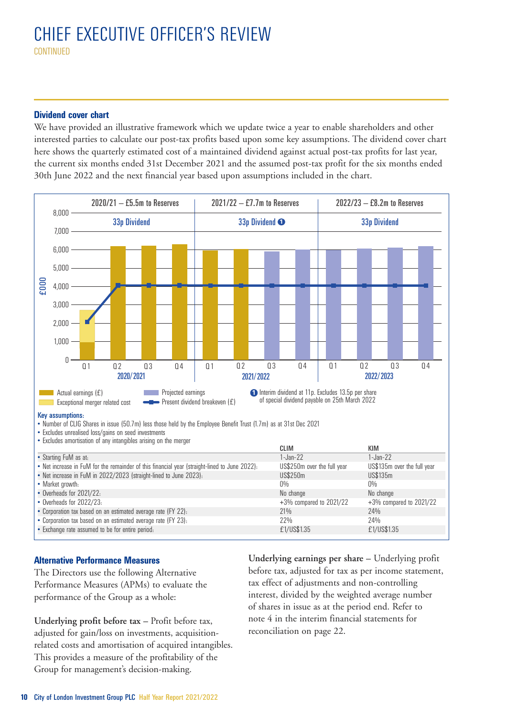# **Dividend cover chart**

We have provided an illustrative framework which we update twice a year to enable shareholders and other interested parties to calculate our post-tax profits based upon some key assumptions. The dividend cover chart here shows the quarterly estimated cost of a maintained dividend against actual post-tax profits for last year, the current six months ended 31st December 2021 and the assumed post-tax profit for the six months ended 30th June 2022 and the next financial year based upon assumptions included in the chart.



# **Alternative Performance Measures**

The Directors use the following Alternative Performance Measures (APMs) to evaluate the performance of the Group as a whole:

**Underlying profit before tax –** Profit before tax, adjusted for gain/loss on investments, acquisitionrelated costs and amortisation of acquired intangibles. This provides a measure of the profitability of the Group for management's decision-making.

**Underlying earnings per share –** Underlying profit before tax, adjusted for tax as per income statement, tax effect of adjustments and non-controlling interest, divided by the weighted average number of shares in issue as at the period end. Refer to note 4 in the interim financial statements for reconciliation on page 22.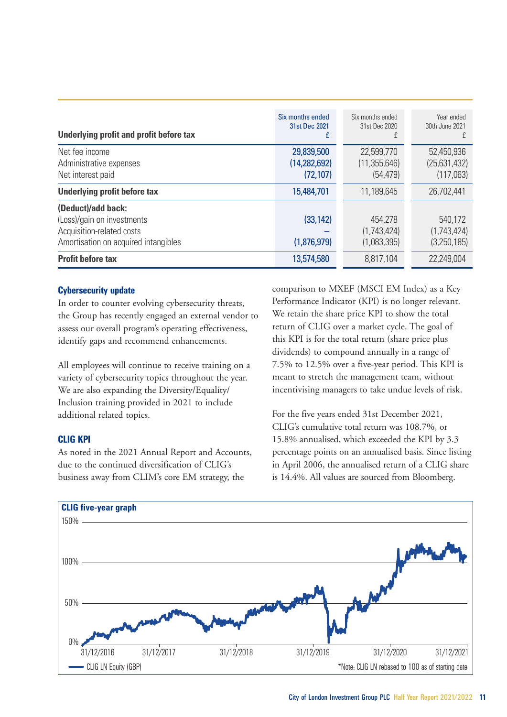| Underlying profit and profit before tax                                                                               | Six months ended<br>31st Dec 2021<br>£    | Six months ended<br>31st Dec 2020         | Year ended<br>30th June 2021<br>Ŧ       |
|-----------------------------------------------------------------------------------------------------------------------|-------------------------------------------|-------------------------------------------|-----------------------------------------|
| Net fee income<br>Administrative expenses<br>Net interest paid                                                        | 29,839,500<br>(14, 282, 692)<br>(72, 107) | 22,599,770<br>(11, 355, 646)<br>(54, 479) | 52,450,936<br>(25,631,432)<br>(117,063) |
| Underlying profit before tax                                                                                          | 15,484,701                                | 11.189.645                                | 26.702.441                              |
| (Deduct)/add back:<br>(Loss)/gain on investments<br>Acquisition-related costs<br>Amortisation on acquired intangibles | (33, 142)<br>(1,876,979)                  | 454,278<br>(1,743,424)<br>(1,083,395)     | 540.172<br>(1,743,424)<br>(3,250,185)   |
| <b>Profit before tax</b>                                                                                              | 13,574,580                                | 8.817.104                                 | 22.249.004                              |

# **Cybersecurity update**

In order to counter evolving cybersecurity threats, the Group has recently engaged an external vendor to assess our overall program's operating effectiveness, identify gaps and recommend enhancements.

All employees will continue to receive training on a variety of cybersecurity topics throughout the year. We are also expanding the Diversity/Equality/ Inclusion training provided in 2021 to include additional related topics.

# **CLIG KPI**

As noted in the 2021 Annual Report and Accounts, due to the continued diversification of CLIG's business away from CLIM's core EM strategy, the

comparison to MXEF (MSCI EM Index) as a Key Performance Indicator (KPI) is no longer relevant. We retain the share price KPI to show the total return of CLIG over a market cycle. The goal of this KPI is for the total return (share price plus dividends) to compound annually in a range of 7.5% to 12.5% over a five-year period. This KPI is meant to stretch the management team, without incentivising managers to take undue levels of risk.

For the five years ended 31st December 2021, CLIG's cumulative total return was 108.7%, or 15.8% annualised, which exceeded the KPI by 3.3 percentage points on an annualised basis. Since listing in April 2006, the annualised return of a CLIG share is 14.4%. All values are sourced from Bloomberg.

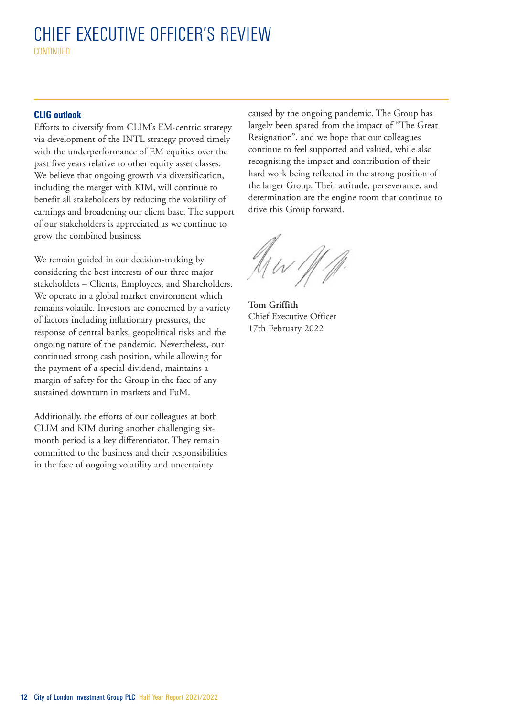# CHIEF EXECUTIVE OFFICER'S REVIEW **CONTINUED**

## **CLIG outlook**

Efforts to diversify from CLIM's EM-centric strategy via development of the INTL strategy proved timely with the underperformance of EM equities over the past five years relative to other equity asset classes. We believe that ongoing growth via diversification, including the merger with KIM, will continue to benefit all stakeholders by reducing the volatility of earnings and broadening our client base. The support of our stakeholders is appreciated as we continue to grow the combined business.

We remain guided in our decision-making by considering the best interests of our three major stakeholders – Clients, Employees, and Shareholders. We operate in a global market environment which remains volatile. Investors are concerned by a variety of factors including inflationary pressures, the response of central banks, geopolitical risks and the ongoing nature of the pandemic. Nevertheless, our continued strong cash position, while allowing for the payment of a special dividend, maintains a margin of safety for the Group in the face of any sustained downturn in markets and FuM.

Additionally, the efforts of our colleagues at both CLIM and KIM during another challenging sixmonth period is a key differentiator. They remain committed to the business and their responsibilities in the face of ongoing volatility and uncertainty

caused by the ongoing pandemic. The Group has largely been spared from the impact of "The Great Resignation", and we hope that our colleagues continue to feel supported and valued, while also recognising the impact and contribution of their hard work being reflected in the strong position of the larger Group. Their attitude, perseverance, and determination are the engine room that continue to drive this Group forward.

 $M \sim 111$ 

**Tom Griffith** Chief Executive Officer 17th February 2022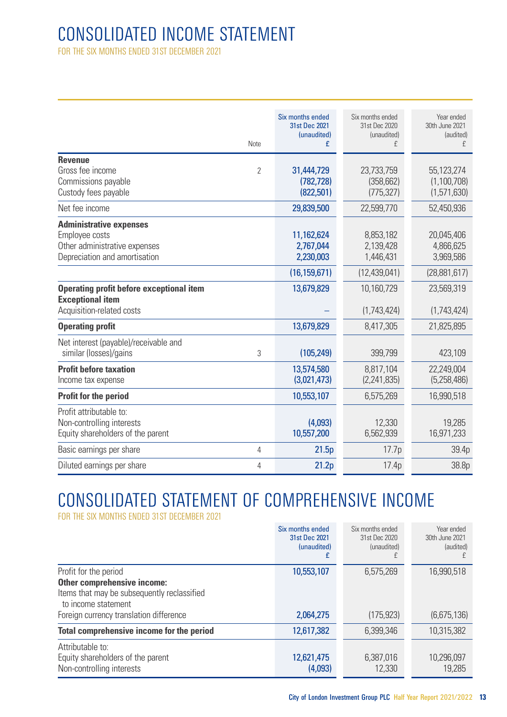# CONSOLIDATED INCOME STATEMENT

FOR THE SIX MONTHS ENDED 31ST DECEMBER 2021

| <b>Revenue</b><br>Gross fee income<br>Commissions payable                                                          | Note<br>$\overline{2}$ | Six months ended<br>31st Dec 2021<br>(unaudited)<br>£<br>31,444,729<br>(782, 728) | Six months ended<br>31st Dec 2020<br>(unaudited)<br>£<br>23,733,759<br>(358, 662) | Year ended<br>30th June 2021<br>(audited)<br>f<br>55,123,274<br>(1,100,708) |
|--------------------------------------------------------------------------------------------------------------------|------------------------|-----------------------------------------------------------------------------------|-----------------------------------------------------------------------------------|-----------------------------------------------------------------------------|
| Custody fees payable                                                                                               |                        | (822,501)                                                                         | (775, 327)                                                                        | (1,571,630)                                                                 |
| Net fee income                                                                                                     |                        | 29,839,500                                                                        | 22,599,770                                                                        | 52,450,936                                                                  |
| <b>Administrative expenses</b><br>Employee costs<br>Other administrative expenses<br>Depreciation and amortisation |                        | 11,162,624<br>2,767,044<br>2,230,003                                              | 8,853,182<br>2,139,428<br>1,446,431                                               | 20,045,406<br>4,866,625<br>3,969,586                                        |
|                                                                                                                    |                        | (16, 159, 671)                                                                    | (12, 439, 041)                                                                    | (28,881,617)                                                                |
| <b>Operating profit before exceptional item</b><br><b>Exceptional item</b><br>Acquisition-related costs            |                        | 13,679,829                                                                        | 10,160,729<br>(1,743,424)                                                         | 23,569,319<br>(1,743,424)                                                   |
| <b>Operating profit</b>                                                                                            |                        | 13,679,829                                                                        | 8,417,305                                                                         | 21,825,895                                                                  |
| Net interest (payable)/receivable and<br>similar (losses)/gains                                                    | 3                      | (105, 249)                                                                        | 399,799                                                                           | 423,109                                                                     |
| <b>Profit before taxation</b><br>Income tax expense                                                                |                        | 13,574,580<br>(3,021,473)                                                         | 8.817.104<br>(2,241,835)                                                          | 22.249.004<br>(5,258,486)                                                   |
| Profit for the period                                                                                              |                        | 10,553,107                                                                        | 6,575,269                                                                         | 16.990.518                                                                  |
| Profit attributable to:<br>Non-controlling interests<br>Equity shareholders of the parent                          |                        | (4,093)<br>10,557,200                                                             | 12,330<br>6,562,939                                                               | 19.285<br>16,971,233                                                        |
| Basic earnings per share                                                                                           | 4                      | 21.5p                                                                             | 17.7p                                                                             | 39.4p                                                                       |
| Diluted earnings per share                                                                                         | 4                      | 21.2 <sub>p</sub>                                                                 | 17.4p                                                                             | 38.8p                                                                       |

# CONSOLIDATED STATEMENT OF COMPREHENSIVE INCOME

FOR THE SIX MONTHS ENDED 31ST DECEMBER 2021

|                                                                                                                            | Six months ended<br>31st Dec 2021<br>(unaudited) | Six months ended<br>31st Dec 2020<br>(unaudited) | Year ended<br>30th June 2021<br>(audited) |
|----------------------------------------------------------------------------------------------------------------------------|--------------------------------------------------|--------------------------------------------------|-------------------------------------------|
| Profit for the period<br>Other comprehensive income:<br>Items that may be subsequently reclassified<br>to income statement | 10,553,107                                       | 6,575,269                                        | 16,990,518                                |
| Foreign currency translation difference                                                                                    | 2,064,275                                        | (175, 923)                                       | (6,675,136)                               |
| Total comprehensive income for the period                                                                                  | 12,617,382                                       | 6.399.346                                        | 10,315,382                                |
| Attributable to:<br>Equity shareholders of the parent<br>Non-controlling interests                                         | 12,621,475<br>(4,093)                            | 6,387,016<br>12,330                              | 10,296,097<br>19.285                      |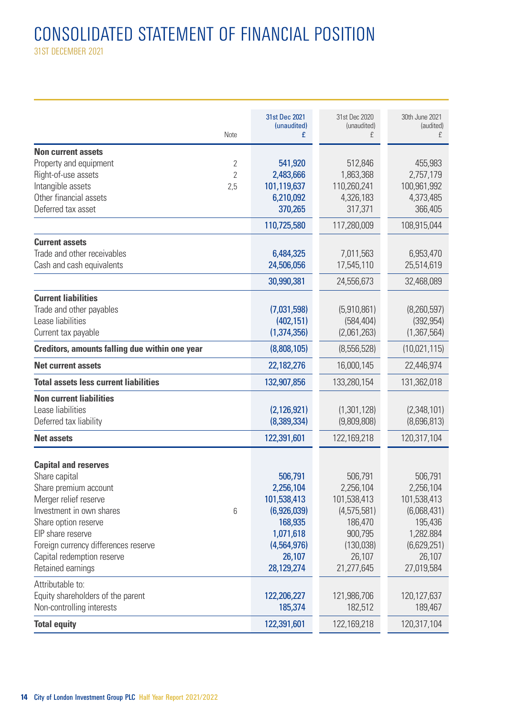# CONSOLIDATED STATEMENT OF FINANCIAL POSITION

31ST DECEMBER 2021

|                                                | 31st Dec 2021    | 31st Dec 2020    | 30th June 2021 |
|------------------------------------------------|------------------|------------------|----------------|
| Note                                           | (unaudited)<br>£ | (unaudited)<br>£ | (audited)<br>£ |
| <b>Non current assets</b>                      |                  |                  |                |
| Property and equipment<br>2                    | 541,920          | 512,846          | 455,983        |
| Right-of-use assets<br>$\overline{2}$          | 2,483,666        | 1,863,368        | 2,757,179      |
| Intangible assets<br>2,5                       | 101,119,637      | 110,260,241      | 100,961,992    |
| Other financial assets                         | 6,210,092        | 4,326,183        | 4,373,485      |
| Deferred tax asset                             | 370,265          | 317,371          | 366,405        |
|                                                | 110,725,580      | 117,280,009      | 108,915,044    |
| <b>Current assets</b>                          |                  |                  |                |
| Trade and other receivables                    | 6,484,325        | 7,011,563        | 6,953,470      |
| Cash and cash equivalents                      | 24,506,056       | 17,545,110       | 25,514,619     |
|                                                | 30,990,381       | 24,556,673       | 32,468,089     |
| <b>Current liabilities</b>                     |                  |                  |                |
| Trade and other payables                       | (7,031,598)      | (5,910,861)      | (8,260,597)    |
| Lease liabilities                              | (402, 151)       | (584, 404)       | (392, 954)     |
| Current tax payable                            | (1,374,356)      | (2,061,263)      | (1,367,564)    |
| Creditors, amounts falling due within one year | (8,808,105)      | (8,556,528)      | (10,021,115)   |
| <b>Net current assets</b>                      | 22,182,276       | 16,000,145       | 22,446,974     |
| Total assets less current liabilities          | 132,907,856      | 133,280,154      | 131,362,018    |
| <b>Non current liabilities</b>                 |                  |                  |                |
| Lease liabilities                              | (2, 126, 921)    | (1,301,128)      | (2,348,101)    |
| Deferred tax liability                         | (8,389,334)      | (9,809,808)      | (8,696,813)    |
| <b>Net assets</b>                              | 122,391,601      | 122,169,218      | 120,317,104    |
| <b>Capital and reserves</b>                    |                  |                  |                |
| Share capital                                  | 506,791          | 506,791          | 506,791        |
| Share premium account                          | 2,256,104        | 2,256,104        | 2,256,104      |
| Merger relief reserve                          | 101,538,413      | 101,538,413      | 101,538,413    |
| Investment in own shares<br>6                  | (6,926,039)      | (4,575,581)      | (6,068,431)    |
| Share option reserve                           | 168,935          | 186,470          | 195,436        |
| EIP share reserve                              | 1,071,618        | 900,795          | 1,282.884      |
| Foreign currency differences reserve           | (4,564,976)      | (130,038)        | (6,629,251)    |
| Capital redemption reserve                     | 26,107           | 26,107           | 26,107         |
| Retained earnings                              | 28,129,274       | 21,277,645       | 27,019,584     |
| Attributable to:                               |                  |                  |                |
| Equity shareholders of the parent              | 122,206,227      | 121,986,706      | 120,127,637    |
| Non-controlling interests                      | 185,374          | 182,512          | 189,467        |
| <b>Total equity</b>                            | 122,391,601      | 122,169,218      | 120,317,104    |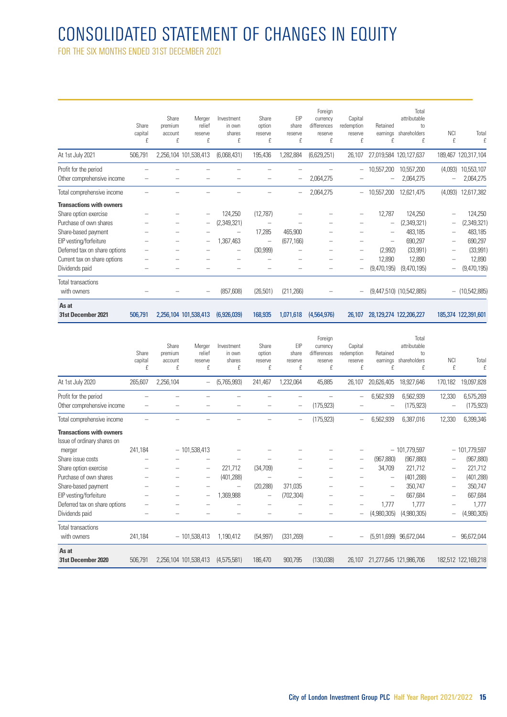# CONSOLIDATED STATEMENT OF CHANGES IN EQUITY

FOR THE SIX MONTHS ENDED 31ST DECEMBER 2021

| As at<br>31st December 2021                              | 506,791               |                                  | 2,256,104 101,538,413            | (6,926,039)                         | 168,935                         | 1,071,618                    | (4,564,976)                                        | 26,107                                |                           | 28,129,274 122,206,227                           |                          | 185,374 122,391,601   |
|----------------------------------------------------------|-----------------------|----------------------------------|----------------------------------|-------------------------------------|---------------------------------|------------------------------|----------------------------------------------------|---------------------------------------|---------------------------|--------------------------------------------------|--------------------------|-----------------------|
| Total transactions<br>with owners                        |                       |                                  |                                  | (857, 608)                          | (26, 501)                       | (211, 266)                   |                                                    |                                       |                           | (9,447,510) (10,542,885)                         |                          | $-$ (10,542,885)      |
| Dividends paid                                           |                       |                                  |                                  |                                     |                                 |                              |                                                    |                                       | (9,470,195)               | (9,470,195)                                      |                          | (9,470,195)           |
| Current tax on share options                             |                       |                                  |                                  |                                     |                                 |                              |                                                    |                                       | 12,890                    | 12,890                                           |                          | 12,890                |
| Deferred tax on share options                            |                       |                                  |                                  |                                     | (30, 999)                       |                              |                                                    |                                       | (2,992)                   | (33,991)                                         |                          | (33, 991)             |
| EIP vesting/forfeiture                                   |                       |                                  |                                  | ,367,463                            | -                               | (677, 166)                   |                                                    |                                       | -                         | 690,297                                          | -                        | 690,297               |
| Share-based payment                                      |                       |                                  |                                  |                                     | 17,285                          | 465,900                      |                                                    |                                       |                           | 483,185                                          |                          | 483,185               |
| Purchase of own shares                                   |                       |                                  | $\qquad \qquad -$                | (2,349,321)                         |                                 |                              |                                                    |                                       | -                         | (2,349,321)                                      |                          | (2,349,321)           |
| <b>Transactions with owners</b><br>Share option exercise |                       |                                  |                                  | 124,250                             | (12,787)                        |                              |                                                    |                                       | 12,787                    | 124,250                                          |                          | 124,250               |
| Total comprehensive income                               |                       |                                  |                                  |                                     |                                 | -                            | 2,064,275                                          | $\overline{\phantom{m}}$              | 10,557,200                | 12,621,475                                       | (4,093)                  | 12,617,382            |
| Other comprehensive income                               |                       |                                  |                                  |                                     |                                 |                              | 2,064,275                                          |                                       |                           | 2,064,275                                        | $\overline{\phantom{0}}$ | 2,064,275             |
| Profit for the period                                    |                       |                                  |                                  |                                     |                                 |                              |                                                    | -                                     | 10,557,200                | 10,557,200                                       | (4,093)                  | 10,553,107            |
| At 1st July 2021                                         | 506,791               |                                  | 2,256,104 101,538,413            | (6,068,431)                         | 195,436                         | ,282,884                     | (6,629,251)                                        | 26,107                                |                           | 27,019,584 120,127,637                           |                          | 189,467 120,317,104   |
|                                                          | Share<br>capital<br>f | Share<br>premium<br>account<br>£ | Merger<br>relief<br>reserve<br>£ | Investment<br>in own<br>shares<br>f | Share<br>option<br>reserve<br>£ | EIP<br>share<br>reserve<br>£ | Foreign<br>currency<br>differences<br>reserve<br>f | Capital<br>redemption<br>reserve<br>£ | Retained<br>earnings<br>f | Total<br>attributable<br>tn<br>shareholders<br>f | <b>NCI</b><br>£          | Total<br>$\mathbf{f}$ |

|                                                                | Share<br>capital<br>f | Share<br>premium<br>account<br>f | Merger<br>relief<br>reserve<br>£ | Investment<br>in nwn<br>shares<br>f | Share<br>option<br>reserve<br>f | FIP<br>share<br>reserve<br>£ | Foreign<br>currency<br>differences<br>reserve<br>f | Capital<br>redemotion<br>reserve<br>f | Retained<br>earnings<br>f | Total<br>attributable<br>tn.<br>shareholders<br>f | <b>NCI</b><br>f | Total<br>$\mathbf{f}$        |
|----------------------------------------------------------------|-----------------------|----------------------------------|----------------------------------|-------------------------------------|---------------------------------|------------------------------|----------------------------------------------------|---------------------------------------|---------------------------|---------------------------------------------------|-----------------|------------------------------|
| At 1st July 2020                                               | 265,607               | 2,256,104                        | $\qquad \qquad -$                | (5,765,993)                         | 241,467                         | 1,232,064                    | 45,885                                             | 26,107                                | 20,626,405                | 18,927,646                                        | 170,182         | 19,097,828                   |
| Profit for the period<br>Other comprehensive income            |                       |                                  |                                  |                                     |                                 |                              | (175, 923)                                         |                                       | 6,562,939                 | 6,562,939<br>(175, 923)                           | 12,330          | 6,575,269<br>(175, 923)      |
| Total comprehensive income                                     |                       |                                  |                                  |                                     |                                 |                              | (175, 923)                                         | -                                     | 6,562,939                 | 6,387,016                                         | 12,330          | 6,399,346                    |
| <b>Transactions with owners</b><br>Issue of ordinary shares on |                       |                                  |                                  |                                     |                                 |                              |                                                    |                                       |                           |                                                   |                 |                              |
| merger<br>Share issue costs                                    | 241,184               |                                  | $-101,538,413$                   |                                     |                                 |                              |                                                    | $\overline{\phantom{0}}$              | (967, 880)                | $-101,779,597$<br>(967, 880)                      |                 | $-101,779,597$<br>(967, 880) |
| Share option exercise                                          |                       |                                  | -                                | 221,712                             | (34,709)                        |                              |                                                    |                                       | 34,709                    | 221,712                                           |                 | 221,712                      |
| Purchase of own shares                                         |                       |                                  | -                                | (401, 288)                          |                                 |                              |                                                    |                                       | -                         | (401, 288)                                        | $\equiv$        | (401, 288)                   |
| Share-based payment                                            |                       |                                  |                                  |                                     | (20, 288)                       | 371,035                      |                                                    |                                       | -                         | 350,747                                           | $\qquad \qquad$ | 350,747                      |
| EIP vesting/forfeiture                                         |                       |                                  | -                                | 1,369,988                           | -                               | (702, 304)                   |                                                    |                                       | -                         | 667,684                                           | $\equiv$        | 667,684                      |
| Deferred tax on share options                                  |                       |                                  |                                  |                                     |                                 |                              |                                                    |                                       | 1,777                     | 1,777                                             |                 | 1,777                        |
| Dividends paid                                                 |                       |                                  |                                  |                                     |                                 |                              |                                                    |                                       | (4,980,305)               | (4,980,305)                                       |                 | (4,980,305)                  |
| Total transactions<br>with owners                              | 241,184               |                                  | $-101,538,413$                   | 1,190,412                           | (54, 997)                       | (331, 269)                   |                                                    | $\equiv$                              | (5,911,699)               | 96,672,044                                        | $-$             | 96,672,044                   |
| As at<br>31st December 2020                                    | 506,791               | 2,256,104 101,538,413            |                                  | (4.575.581)                         | 186.470                         | 900,795                      | (130,038)                                          | 26.107                                |                           | 21.277.645 121.986.706                            |                 | 182,512 122,169,218          |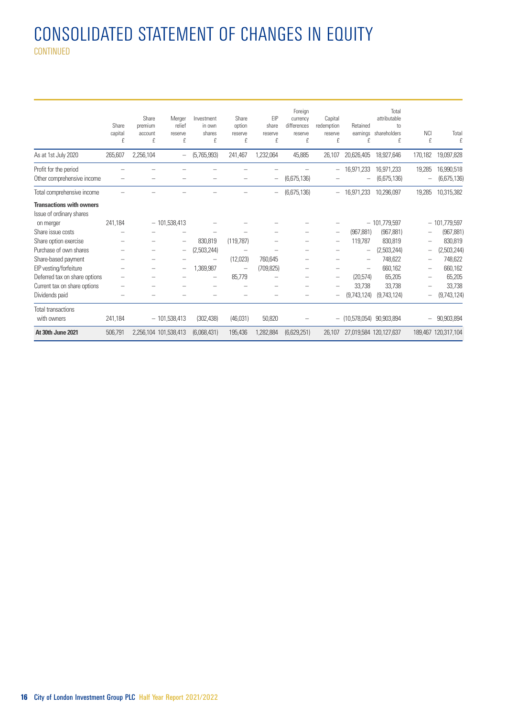# CONSOLIDATED STATEMENT OF CHANGES IN EQUITY CONTINUED

|                                                             | Share<br>capital<br>f | Share<br>premium<br>account<br>f | Merger<br>relief<br>reserve<br>£ | Investment<br>in own<br>shares<br>£ | Share<br>option<br>reserve<br>f | EIP<br>share<br>reserve<br>£ | Foreign<br>currency<br>differences<br>reserve<br>f | Capital<br>redemption<br>reserve<br>£ | Retained<br>eamings<br>f | Total<br>attributable<br>to<br>shareholders<br>£ | <b>NCI</b><br>£ | Total<br>$\mathbf f$      |
|-------------------------------------------------------------|-----------------------|----------------------------------|----------------------------------|-------------------------------------|---------------------------------|------------------------------|----------------------------------------------------|---------------------------------------|--------------------------|--------------------------------------------------|-----------------|---------------------------|
| As at 1st July 2020                                         | 265,607               | 2,256,104                        | $\qquad \qquad -$                | (5,765,993)                         | 241,467                         | 1,232,064                    | 45,885                                             | 26.107                                | 20,626,405               | 18.927.646                                       | 170,182         | 19.097.828                |
| Profit for the period<br>Other comprehensive income         |                       |                                  |                                  |                                     |                                 |                              | (6,675,136)                                        | -                                     | 16.971.233               | 16.971.233<br>(6.675.136)                        | 19.285          | 16,990,518<br>(6,675,136) |
| Total comprehensive income                                  |                       |                                  |                                  |                                     |                                 |                              | (6,675,136)                                        | -                                     | 16.971.233               | 10.296.097                                       | 19,285          | 10,315,382                |
| <b>Transactions with owners</b><br>Issue of ordinary shares |                       |                                  |                                  |                                     |                                 |                              |                                                    |                                       |                          |                                                  |                 |                           |
| on merger                                                   | 241.184               |                                  | $-101,538,413$                   |                                     |                                 |                              |                                                    |                                       |                          | $-101.779.597$                                   |                 | $-101,779,597$            |
| Share issue costs                                           |                       |                                  |                                  |                                     |                                 |                              |                                                    | $\overline{\phantom{0}}$              | (967.881)                | (967.881)                                        |                 | (967, 881)                |
| Share option exercise                                       |                       |                                  |                                  | 830.819                             | (119.787)                       |                              |                                                    |                                       | 119.787                  | 830.819                                          | $\equiv$        | 830,819                   |
| Purchase of own shares                                      |                       |                                  | -                                | (2,503,244)                         |                                 |                              |                                                    |                                       | -                        | (2,503,244)                                      |                 | (2,503,244)               |
| Share-based payment                                         |                       |                                  |                                  |                                     | (12,023)                        | 760.645                      |                                                    |                                       | -                        | 748,622                                          |                 | 748,622                   |
| EIP vesting/forfeiture                                      |                       | -                                | -                                | 1,369,987                           | -                               | (709.825)                    | -                                                  | -                                     | -                        | 660,162                                          | -               | 660,162                   |
| Deferred tax on share options                               |                       |                                  |                                  |                                     | 85,779                          |                              |                                                    | -                                     | (20, 574)                | 65,205                                           |                 | 65,205                    |
| Current tax on share options                                |                       |                                  |                                  |                                     |                                 |                              |                                                    |                                       | 33.738                   | 33.738                                           |                 | 33.738                    |
| Dividends paid                                              |                       |                                  |                                  |                                     |                                 |                              |                                                    |                                       | (9.743.124)              | (9,743,124)                                      |                 | (9,743,124)               |
| <b>Total transactions</b>                                   |                       |                                  |                                  |                                     |                                 |                              |                                                    |                                       |                          |                                                  |                 |                           |
| with owners                                                 | 241,184               |                                  | $-101.538.413$                   | (302.438)                           | (46.031)                        | 50,820                       |                                                    |                                       | $-$ (10.578.054)         | 90.903.894                                       |                 | 90,903,894                |
| At 30th June 2021                                           | 506,791               | 2.256.104 101.538.413            |                                  | (6.068.431)                         | 195,436                         | 1,282,884                    | (6,629,251)                                        | 26.107                                | 27.019.584 120.127.637   |                                                  |                 | 189.467 120.317.104       |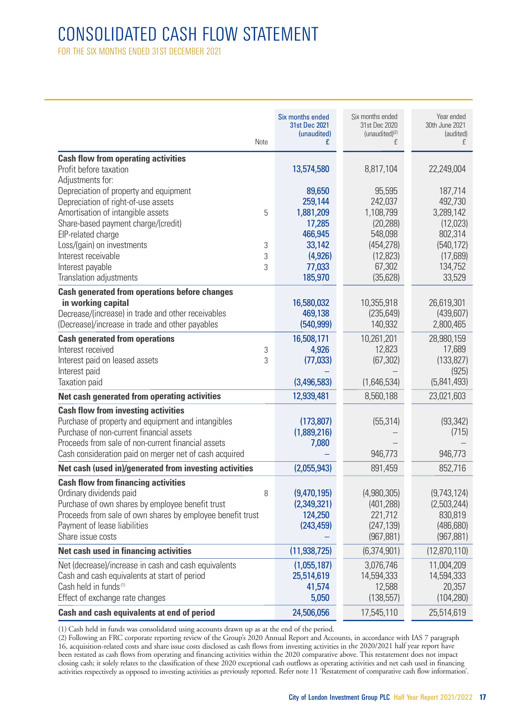# CONSOLIDATED CASH FLOW STATEMENT

FOR THE SIX MONTHS ENDED 31ST DECEMBER 2021

|                                                                                                | Six months ended<br>31st Dec 2021<br>(unaudited) | Six months ended<br>31st Dec 2020<br>(unaudited) <sup>(2)</sup> | Year ended<br>30th June 2021<br>(audited) |
|------------------------------------------------------------------------------------------------|--------------------------------------------------|-----------------------------------------------------------------|-------------------------------------------|
| Note                                                                                           | £                                                | f                                                               | £                                         |
| <b>Cash flow from operating activities</b>                                                     |                                                  |                                                                 |                                           |
| Profit before taxation                                                                         | 13,574,580                                       | 8,817,104                                                       | 22,249,004                                |
| Adiustments for:                                                                               |                                                  |                                                                 |                                           |
| Depreciation of property and equipment                                                         | 89,650                                           | 95,595                                                          | 187,714                                   |
| Depreciation of right-of-use assets<br>Amortisation of intangible assets<br>5                  | 259,144                                          | 242,037<br>1,108,799                                            | 492,730<br>3,289,142                      |
| Share-based payment charge/(credit)                                                            | 1,881,209<br>17,285                              | (20, 288)                                                       | (12,023)                                  |
| EIP-related charge                                                                             | 466,945                                          | 548,098                                                         | 802,314                                   |
| Loss/(gain) on investments<br>3                                                                | 33,142                                           | (454, 278)                                                      | (540, 172)                                |
| Interest receivable<br>3                                                                       | (4, 926)                                         | (12, 823)                                                       | (17,689)                                  |
| Interest payable<br>3                                                                          | 77,033                                           | 67,302                                                          | 134,752                                   |
| Translation adjustments                                                                        | 185,970                                          | (35, 628)                                                       | 33,529                                    |
| <b>Cash generated from operations before changes</b>                                           |                                                  |                                                                 |                                           |
| in working capital                                                                             | 16,580,032                                       | 10,355,918                                                      | 26,619,301                                |
| Decrease/(increase) in trade and other receivables                                             | 469,138                                          | (235, 649)                                                      | (439,607)                                 |
| (Decrease)/increase in trade and other payables                                                | (540, 999)                                       | 140,932                                                         | 2,800,465                                 |
| <b>Cash generated from operations</b>                                                          | 16,508,171                                       | 10,261,201                                                      | 28,980,159                                |
| Interest received<br>3                                                                         | 4,926                                            | 12,823                                                          | 17,689                                    |
| Interest paid on leased assets<br>3                                                            | (77, 033)                                        | (67, 302)                                                       | (133, 827)                                |
| Interest paid                                                                                  |                                                  |                                                                 | (925)                                     |
| Taxation paid                                                                                  | (3,496,583)                                      | (1,646,534)                                                     | (5,841,493)                               |
| Net cash generated from operating activities                                                   | 12,939,481                                       | 8,560,188                                                       | 23,021,603                                |
| <b>Cash flow from investing activities</b>                                                     |                                                  |                                                                 |                                           |
| Purchase of property and equipment and intangibles                                             | (173, 807)                                       | (55, 314)                                                       | (93, 342)                                 |
| Purchase of non-current financial assets<br>Proceeds from sale of non-current financial assets | (1,889,216)                                      |                                                                 | (715)                                     |
| Cash consideration paid on merger net of cash acquired                                         | 7,080                                            | 946,773                                                         | 946,773                                   |
| Net cash (used in)/generated from investing activities                                         | (2,055,943)                                      | 891,459                                                         | 852,716                                   |
|                                                                                                |                                                  |                                                                 |                                           |
| <b>Cash flow from financing activities</b><br>Ordinary dividends paid                          |                                                  | (4,980,305)                                                     |                                           |
| 8<br>Purchase of own shares by employee benefit trust                                          | (9,470,195)<br>(2,349,321)                       | (401, 288)                                                      | (9,743,124)<br>(2,503,244)                |
| Proceeds from sale of own shares by employee benefit trust                                     | 124,250                                          | 221,712                                                         | 830,819                                   |
| Payment of lease liabilities                                                                   | (243, 459)                                       | (247, 139)                                                      | (486, 680)                                |
| Share issue costs                                                                              |                                                  | (967, 881)                                                      | (967, 881)                                |
| Net cash used in financing activities                                                          | (11, 938, 725)                                   | (6,374,901)                                                     | (12,870,110)                              |
| Net (decrease)/increase in cash and cash equivalents                                           | (1,055,187)                                      | 3,076,746                                                       | 11,004,209                                |
| Cash and cash equivalents at start of period                                                   | 25,514,619                                       | 14,594,333                                                      | 14,594,333                                |
| Cash held in funds <sup>(1)</sup>                                                              | 41,574                                           | 12,588                                                          | 20,357                                    |
| Effect of exchange rate changes                                                                | 5,050                                            | (138, 557)                                                      | (104, 280)                                |
| Cash and cash equivalents at end of period                                                     | 24,506,056                                       | 17,545,110                                                      | 25,514,619                                |

(1) Cash held in funds was consolidated using accounts drawn up as at the end of the period.

(2) Following an FRC corporate reporting review of the Group's 2020 Annual Report and Accounts, in accordance with IAS 7 paragraph 16, acquisition-related costs and share issue costs disclosed as cash flows from investing activities in the 2020/2021 half year report have been restated as cash flows from operating and financing activities within the 2020 comparative above. This restatement does not impact<br>closing cash; it solely relates to the classification of these 2020 exceptional cash o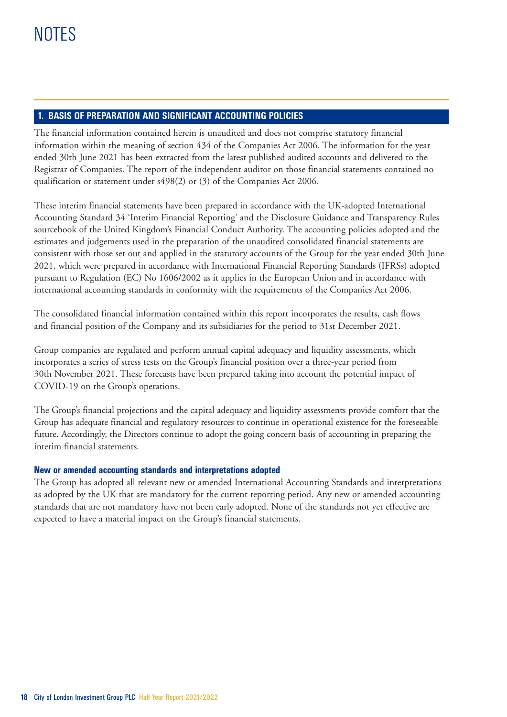# **1. BASIS OF PREPARATION AND SIGNIFICANT ACCOUNTING POLICIES**

The financial information contained herein is unaudited and does not comprise statutory financial information within the meaning of section 434 of the Companies Act 2006. The information for the year ended 30th June 2021 has been extracted from the latest published audited accounts and delivered to the Registrar of Companies. The report of the independent auditor on those financial statements contained no qualification or statement under s498(2) or (3) of the Companies Act 2006.

These interim financial statements have been prepared in accordance with the UK-adopted International Accounting Standard 34 'Interim Financial Reporting' and the Disclosure Guidance and Transparency Rules sourcebook of the United Kingdom's Financial Conduct Authority. The accounting policies adopted and the estimates and judgements used in the preparation of the unaudited consolidated financial statements are consistent with those set out and applied in the statutory accounts of the Group for the year ended 30th June 2021, which were prepared in accordance with International Financial Reporting Standards (IFRSs) adopted pursuant to Regulation (EC) No 1606/2002 as it applies in the European Union and in accordance with international accounting standards in conformity with the requirements of the Companies Act 2006.

The consolidated financial information contained within this report incorporates the results, cash flows and financial position of the Company and its subsidiaries for the period to 31st December 2021.

Group companies are regulated and perform annual capital adequacy and liquidity assessments, which incorporates a series of stress tests on the Group's financial position over a three-year period from 30th November 2021. These forecasts have been prepared taking into account the potential impact of COVID-19 on the Group's operations.

The Group's financial projections and the capital adequacy and liquidity assessments provide comfort that the Group has adequate financial and regulatory resources to continue in operational existence for the foreseeable future. Accordingly, the Directors continue to adopt the going concern basis of accounting in preparing the interim financial statements.

# **New or amended accounting standards and interpretations adopted**

The Group has adopted all relevant new or amended International Accounting Standards and interpretations as adopted by the UK that are mandatory for the current reporting period. Any new or amended accounting standards that are not mandatory have not been early adopted. None of the standards not yet effective are expected to have a material impact on the Group's financial statements.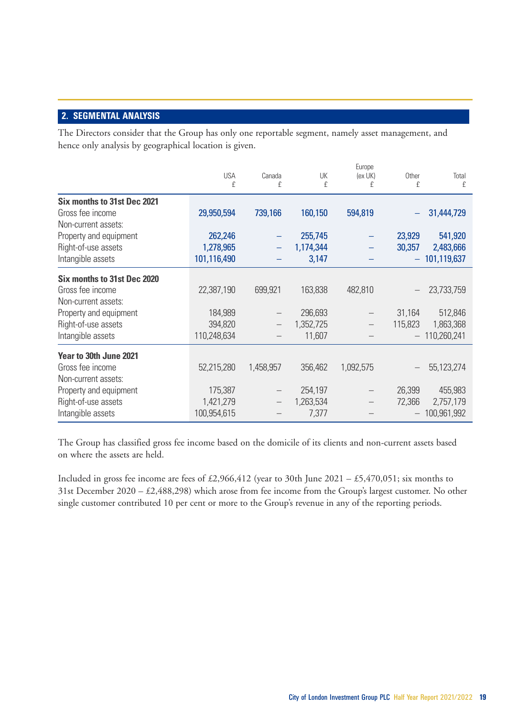# **2. SEGMENTAL ANALYSIS**

The Directors consider that the Group has only one reportable segment, namely asset management, and hence only analysis by geographical location is given.

|                             | <b>USA</b><br>£ | Canada<br>£ | UK<br>£   | Europe<br>(ex UK)<br>£ | Other<br>£ | Total<br>£  |
|-----------------------------|-----------------|-------------|-----------|------------------------|------------|-------------|
| Six months to 31st Dec 2021 |                 |             |           |                        |            |             |
| Gross fee income            | 29,950,594      | 739,166     | 160,150   | 594,819                |            | 31,444,729  |
| Non-current assets:         |                 |             |           |                        |            |             |
| Property and equipment      | 262,246         |             | 255,745   |                        | 23,929     | 541,920     |
| Right-of-use assets         | 1,278,965       |             | 1,174,344 |                        | 30,357     | 2,483,666   |
| Intangible assets           | 101,116,490     |             | 3,147     |                        | ÷          | 101,119,637 |
| Six months to 31st Dec 2020 |                 |             |           |                        |            |             |
| Gross fee income            | 22,387,190      | 699,921     | 163,838   | 482,810                |            | 23,733,759  |
| Non-current assets:         |                 |             |           |                        |            |             |
| Property and equipment      | 184,989         |             | 296,693   |                        | 31,164     | 512,846     |
| Right-of-use assets         | 394,820         |             | 1,352,725 |                        | 115,823    | 1,863,368   |
| Intangible assets           | 110,248,634     |             | 11,607    |                        |            | 110,260,241 |
| Year to 30th June 2021      |                 |             |           |                        |            |             |
| Gross fee income            | 52,215,280      | 1,458,957   | 356,462   | 1,092,575              |            | 55,123,274  |
| Non-current assets:         |                 |             |           |                        |            |             |
| Property and equipment      | 175,387         |             | 254,197   |                        | 26,399     | 455,983     |
| Right-of-use assets         | 1,421,279       |             | 1,263,534 |                        | 72,366     | 2,757,179   |
| Intangible assets           | 100,954,615     |             | 7,377     |                        |            | 100.961.992 |

The Group has classified gross fee income based on the domicile of its clients and non- current assets based on where the assets are held.

Included in gross fee income are fees of £2,966,412 (year to 30th June 2021 – £5,470,051; six months to 31st December 2020 – £2,488,298) which arose from fee income from the Group's largest customer. No other single customer contributed 10 per cent or more to the Group's revenue in any of the reporting periods.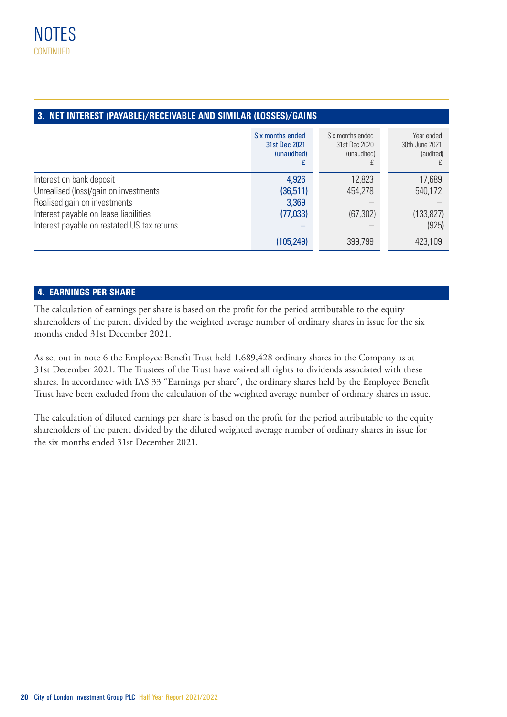| 3. NET INTEREST (PAYABLE)/RECEIVABLE AND SIMILAR (LOSSES)/GAINS |                                                  |                                                  |                                           |  |  |  |  |
|-----------------------------------------------------------------|--------------------------------------------------|--------------------------------------------------|-------------------------------------------|--|--|--|--|
|                                                                 | Six months ended<br>31st Dec 2021<br>(unaudited) | Six months ended<br>31st Dec 2020<br>(unaudited) | Year ended<br>30th June 2021<br>(audited) |  |  |  |  |
| Interest on bank deposit                                        | 4,926                                            | 12,823                                           | 17,689                                    |  |  |  |  |
| Unrealised (loss)/gain on investments                           | (36,511)                                         | 454.278                                          | 540.172                                   |  |  |  |  |
| Realised gain on investments                                    | 3,369                                            |                                                  |                                           |  |  |  |  |
| Interest payable on lease liabilities                           | (77,033)                                         | (67, 302)                                        | (133, 827)                                |  |  |  |  |
| Interest payable on restated US tax returns                     |                                                  |                                                  | (925)                                     |  |  |  |  |
|                                                                 | (105, 249)                                       | 399,799                                          | 423,109                                   |  |  |  |  |

# **4. EARNINGS PER SHARE**

The calculation of earnings per share is based on the profit for the period attributable to the equity shareholders of the parent divided by the weighted average number of ordinary shares in issue for the six months ended 31st December 2021.

As set out in note 6 the Employee Benefit Trust held 1,689,428 ordinary shares in the Company as at 31st December 2021. The Trustees of the Trust have waived all rights to dividends associated with these shares. In accordance with IAS 33 "Earnings per share", the ordinary shares held by the Employee Benefit Trust have been excluded from the calculation of the weighted average number of ordinary shares in issue.

The calculation of diluted earnings per share is based on the profit for the period attributable to the equity shareholders of the parent divided by the diluted weighted average number of ordinary shares in issue for the six months ended 31st December 2021.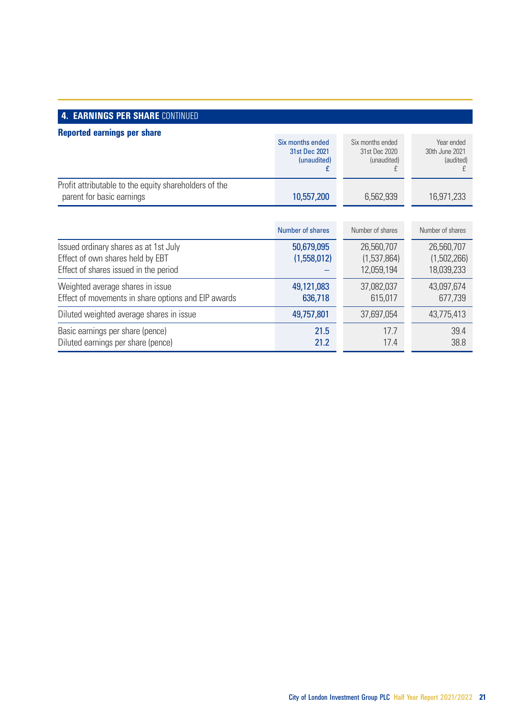# **4. EARNINGS PER SHARE CONTINUED**

| Reported earnings per share                                                                                        |                                                  |                                                  |                                           |
|--------------------------------------------------------------------------------------------------------------------|--------------------------------------------------|--------------------------------------------------|-------------------------------------------|
|                                                                                                                    | Six months ended<br>31st Dec 2021<br>(unaudited) | Six months ended<br>31st Dec 2020<br>(unaudited) | Year ended<br>30th June 2021<br>(audited) |
| Profit attributable to the equity shareholders of the<br>parent for basic earnings                                 | 10,557,200                                       | 6,562,939                                        | 16,971,233                                |
|                                                                                                                    |                                                  |                                                  |                                           |
|                                                                                                                    | Number of shares                                 | Number of shares                                 | Number of shares                          |
| Issued ordinary shares as at 1st July<br>Effect of own shares held by EBT<br>Effect of shares issued in the period | 50,679,095<br>(1,558,012)                        | 26,560,707<br>(1,537,864)<br>12,059,194          | 26,560,707<br>(1,502,266)<br>18,039,233   |
| Weighted average shares in issue<br>Effect of movements in share options and EIP awards                            | 49,121,083<br>636,718                            | 37,082,037<br>615,017                            | 43,097,674<br>677.739                     |
| Diluted weighted average shares in issue                                                                           | 49,757,801                                       | 37,697,054                                       | 43,775,413                                |
| Basic earnings per share (pence)<br>Diluted earnings per share (pence)                                             | 21.5<br>21.2                                     | 17.7<br>17.4                                     | 39.4<br>38.8                              |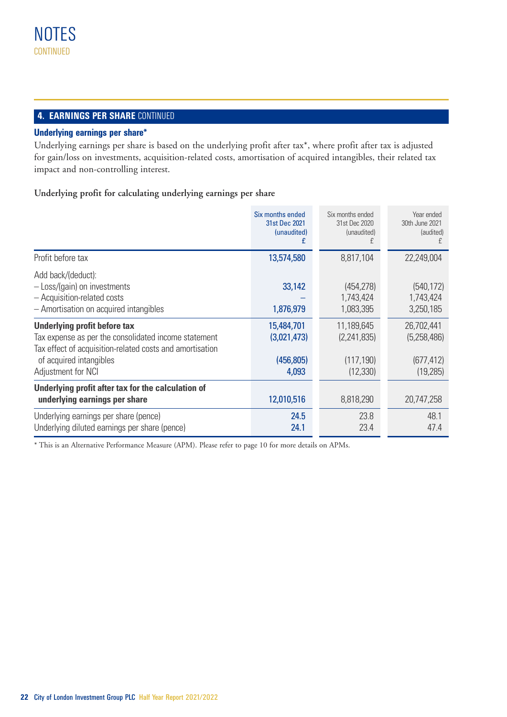# **4. EARNINGS PER SHARE CONTINUED**

# **Underlying earnings per share\***

Underlying earnings per share is based on the underlying profit after tax\*, where profit after tax is adjusted for gain/loss on investments, acquisition-related costs, amortisation of acquired intangibles, their related tax impact and non-controlling interest.

**Underlying profit for calculating underlying earnings per share**

|                                                                                                                                                                                                   | Six months ended<br>31st Dec 2021<br>(unaudited)<br>£ | Six months ended<br>31st Dec 2020<br>(unaudited)     | Year ended<br>30th June 2021<br>(audited)            |
|---------------------------------------------------------------------------------------------------------------------------------------------------------------------------------------------------|-------------------------------------------------------|------------------------------------------------------|------------------------------------------------------|
| Profit before tax                                                                                                                                                                                 | 13,574,580                                            | 8,817,104                                            | 22,249,004                                           |
| Add back/(deduct):<br>- Loss/(gain) on investments<br>- Acquisition-related costs<br>- Amortisation on acquired intangibles                                                                       | 33,142<br>1,876,979                                   | (454, 278)<br>1,743,424<br>1,083,395                 | (540, 172)<br>1,743,424<br>3,250,185                 |
| Underlying profit before tax<br>Tax expense as per the consolidated income statement<br>Tax effect of acquisition-related costs and amortisation<br>of acquired intangibles<br>Adjustment for NCI | 15,484,701<br>(3,021,473)<br>(456, 805)<br>4,093      | 11,189,645<br>(2,241,835)<br>(117, 190)<br>(12, 330) | 26.702.441<br>(5,258,486)<br>(677, 412)<br>(19, 285) |
| Underlying profit after tax for the calculation of<br>underlying earnings per share                                                                                                               | 12,010,516                                            | 8,818,290                                            | 20,747,258                                           |
| Underlying earnings per share (pence)<br>Underlying diluted earnings per share (pence)                                                                                                            | 24.5<br>24.1                                          | 23.8<br>23.4                                         | 48.1<br>47.4                                         |

\* This is an Alternative Performance Measure (APM). Please refer to page 10 for more details on APMs.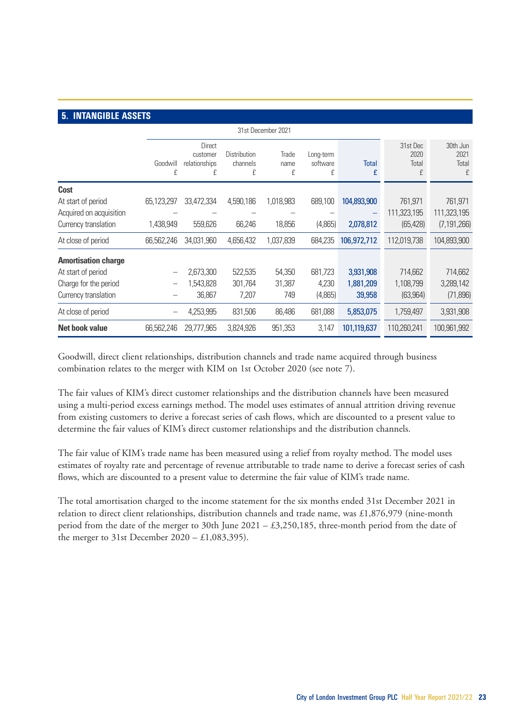# **5. INTANGIBLE ASSETS**

|                            |               | 31st December 2021                       |                               |                    |                            |                   |                                |                                |
|----------------------------|---------------|------------------------------------------|-------------------------------|--------------------|----------------------------|-------------------|--------------------------------|--------------------------------|
|                            | Goodwill<br>£ | Direct<br>customer<br>relationships<br>£ | Distribution<br>channels<br>£ | Trade<br>name<br>£ | Long-term<br>software<br>£ | <b>Total</b><br>£ | 31st Dec<br>2020<br>Total<br>£ | 30th Jun<br>2021<br>Total<br>£ |
| Cost                       |               |                                          |                               |                    |                            |                   |                                |                                |
| At start of period         | 65,123,297    | 33,472,334                               | 4,590,186                     | 1,018,983          | 689,100                    | 104,893,900       | 761,971                        | 761,971                        |
| Acquired on acquisition    |               |                                          |                               |                    |                            |                   | 111.323.195                    | 111,323,195                    |
| Currency translation       | 1,438,949     | 559,626                                  | 66,246                        | 18,856             | (4,865)                    | 2,078,812         | (65, 428)                      | (7, 191, 266)                  |
| At close of period         | 66,562,246    | 34,031,960                               | 4,656,432                     | 1,037,839          | 684.235                    | 106,972,712       | 112,019,738                    | 104,893,900                    |
| <b>Amortisation charge</b> |               |                                          |                               |                    |                            |                   |                                |                                |
| At start of period         |               | 2.673.300                                | 522.535                       | 54,350             | 681.723                    | 3,931,908         | 714.662                        | 714.662                        |
| Charge for the period      | $\equiv$      | 1,543,828                                | 301.764                       | 31,387             | 4.230                      | 1,881,209         | 1,108,799                      | 3,289,142                      |
| Currency translation       |               | 36,867                                   | 7.207                         | 749                | (4,865)                    | 39,958            | (63, 964)                      | (71, 896)                      |
| At close of period         |               | 4,253,995                                | 831,506                       | 86,486             | 681,088                    | 5,853,075         | 1,759,497                      | 3,931,908                      |
| <b>Net book value</b>      | 66,562,246    | 29.777.965                               | 3,824,926                     | 951,353            | 3.147                      | 101,119,637       | 110,260,241                    | 100.961.992                    |

Goodwill, direct client relationships, distribution channels and trade name acquired through business combination relates to the merger with KIM on 1st October 2020 (see note 7).

The fair values of KIM's direct customer relationships and the distribution channels have been measured using a multi-period excess earnings method. The model uses estimates of annual attrition driving revenue from existing customers to derive a forecast series of cash flows, which are discounted to a present value to determine the fair values of KIM's direct customer relationships and the distribution channels.

The fair value of KIM's trade name has been measured using a relief from royalty method. The model uses estimates of royalty rate and percentage of revenue attributable to trade name to derive a forecast series of cash flows, which are discounted to a present value to determine the fair value of KIM's trade name.

The total amortisation charged to the income statement for the six months ended 31st December 2021 in relation to direct client relationships, distribution channels and trade name, was £1,876,979 (nine-month period from the date of the merger to 30th June 2021 – £3,250,185, three-month period from the date of the merger to 31st December 2020 – £1,083,395).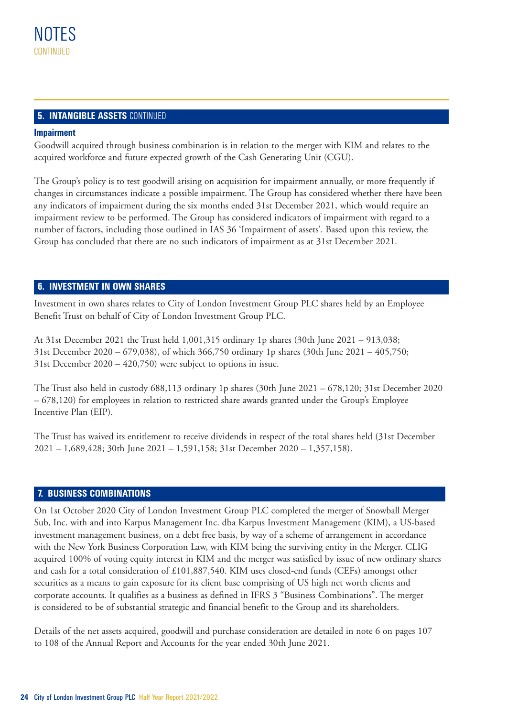# **5. INTANGIBLE ASSETS CONTINUED**

## **Impairment**

Goodwill acquired through business combination is in relation to the merger with KIM and relates to the acquired workforce and future expected growth of the Cash Generating Unit (CGU).

The Group's policy is to test goodwill arising on acquisition for impairment annually, or more frequently if changes in circumstances indicate a possible impairment. The Group has considered whether there have been any indicators of impairment during the six months ended 31st December 2021, which would require an impairment review to be performed. The Group has considered indicators of impairment with regard to a number of factors, including those outlined in IAS 36 'Impairment of assets'. Based upon this review, the Group has concluded that there are no such indicators of impairment as at 31st December 2021.

# **6. INVESTMENT IN OWN SHARES**

Investment in own shares relates to City of London Investment Group PLC shares held by an Employee Benefit Trust on behalf of City of London Investment Group PLC.

At 31st December 2021 the Trust held 1,001,315 ordinary 1p shares (30th June 2021 – 913,038; 31st December 2020 – 679,038), of which 366,750 ordinary 1p shares (30th June 2021 – 405,750; 31st December 2020 – 420,750) were subject to options in issue.

The Trust also held in custody 688,113 ordinary 1p shares (30th June 2021 – 678,120; 31st December 2020 – 678,120) for employees in relation to restricted share awards granted under the Group's Employee Incentive Plan (EIP).

The Trust has waived its entitlement to receive dividends in respect of the total shares held (31st December 2021 – 1,689,428; 30th June 2021 – 1,591,158; 31st December 2020 – 1,357,158).

# **7. BUSINESS COMBINATIONS**

On 1st October 2020 City of London Investment Group PLC completed the merger of Snowball Merger Sub, Inc. with and into Karpus Management Inc. dba Karpus Investment Management (KIM), a US-based investment management business, on a debt free basis, by way of a scheme of arrangement in accordance with the New York Business Corporation Law, with KIM being the surviving entity in the Merger. CLIG acquired 100% of voting equity interest in KIM and the merger was satisfied by issue of new ordinary shares and cash for a total consideration of £101,887,540. KIM uses closed-end funds (CEFs) amongst other securities as a means to gain exposure for its client base comprising of US high net worth clients and corporate accounts. It qualifies as a business as defined in IFRS 3 "Business Combinations". The merger is considered to be of substantial strategic and financial benefit to the Group and its shareholders.

Details of the net assets acquired, goodwill and purchase consideration are detailed in note 6 on pages 107 to 108 of the Annual Report and Accounts for the year ended 30th June 2021.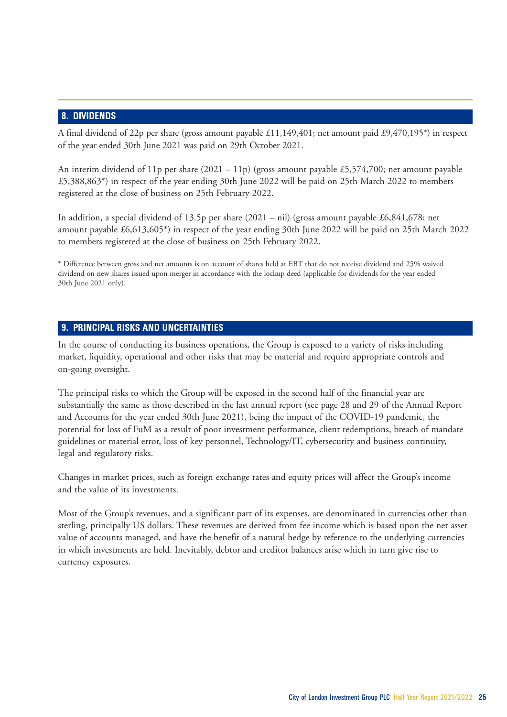# **8. DIVIDENDS**

A final dividend of 22p per share (gross amount payable £11,149,401; net amount paid £9,470,195\*) in respect of the year ended 30th June 2021 was paid on 29th October 2021.

An interim dividend of 11p per share  $(2021 - 11p)$  (gross amount payable £5,574,700; net amount payable £5,388,863\*) in respect of the year ending 30th June 2022 will be paid on 25th March 2022 to members registered at the close of business on 25th February 2022.

In addition, a special dividend of 13.5p per share  $(2021 - \text{nil})$  (gross amount payable £6,841,678; net amount payable £6,613,605\*) in respect of the year ending 30th June 2022 will be paid on 25th March 2022 to members registered at the close of business on 25th February 2022.

\* Difference between gross and net amounts is on account of shares held at EBT that do not receive dividend and 25% waived dividend on new shares issued upon merger in accordance with the lockup deed (applicable for dividends for the year ended 30th June 2021 only).

# **9. PRINCIPAL RISKS AND UNCERTAINTIES**

In the course of conducting its business operations, the Group is exposed to a variety of risks including market, liquidity, operational and other risks that may be material and require appropriate controls and on-going oversight.

The principal risks to which the Group will be exposed in the second half of the financial year are substantially the same as those described in the last annual report (see page 28 and 29 of the Annual Report and Accounts for the year ended 30th June 2021), being the impact of the COVID-19 pandemic, the potential for loss of FuM as a result of poor investment performance, client redemptions, breach of mandate guidelines or material error, loss of key personnel, Technology/IT, cybersecurity and business continuity, legal and regulatory risks.

Changes in market prices, such as foreign exchange rates and equity prices will affect the Group's income and the value of its investments.

Most of the Group's revenues, and a significant part of its expenses, are denominated in currencies other than sterling, principally US dollars. These revenues are derived from fee income which is based upon the net asset value of accounts managed, and have the benefit of a natural hedge by reference to the underlying currencies in which investments are held. Inevitably, debtor and creditor balances arise which in turn give rise to currency exposures.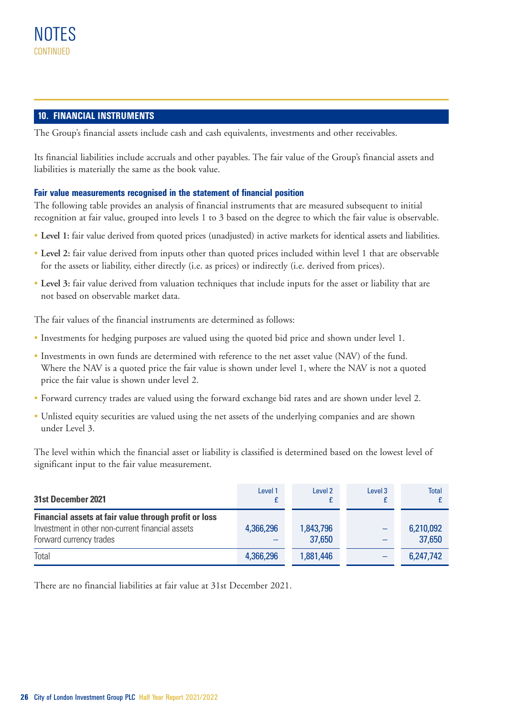# **10. FINANCIAL INSTRUMENTS**

The Group's financial assets include cash and cash equivalents, investments and other receivables.

Its financial liabilities include accruals and other payables. The fair value of the Group's financial assets and liabilities is materially the same as the book value.

# **Fair value measurements recognised in the statement of financial position**

The following table provides an analysis of financial instruments that are measured subsequent to initial recognition at fair value, grouped into levels 1 to 3 based on the degree to which the fair value is observable.

- **Level 1:** fair value derived from quoted prices (unadjusted) in active markets for identical assets and liabilities.
- **Level 2:** fair value derived from inputs other than quoted prices included within level 1 that are observable for the assets or liability, either directly (i.e. as prices) or indirectly (i.e. derived from prices).
- **Level 3:** fair value derived from valuation techniques that include inputs for the asset or liability that are not based on observable market data.

The fair values of the financial instruments are determined as follows:

- Investments for hedging purposes are valued using the quoted bid price and shown under level 1.
- Investments in own funds are determined with reference to the net asset value (NAV) of the fund. Where the NAV is a quoted price the fair value is shown under level 1, where the NAV is not a quoted price the fair value is shown under level 2.
- Forward currency trades are valued using the forward exchange bid rates and are shown under level 2.
- Unlisted equity securities are valued using the net assets of the underlying companies and are shown under Level 3.

The level within which the financial asset or liability is classified is determined based on the lowest level of significant input to the fair value measurement.

| 31st December 2021                                                                                                                   | Level 1   | Level 2             | Level 3 | <b>Total</b>        |
|--------------------------------------------------------------------------------------------------------------------------------------|-----------|---------------------|---------|---------------------|
| Financial assets at fair value through profit or loss<br>Investment in other non-current financial assets<br>Forward currency trades | 4.366.296 | 1,843,796<br>37.650 |         | 6,210,092<br>37.650 |
| Total                                                                                                                                | 4.366.296 | 1.881.446           |         | 6,247,742           |

There are no financial liabilities at fair value at 31st December 2021.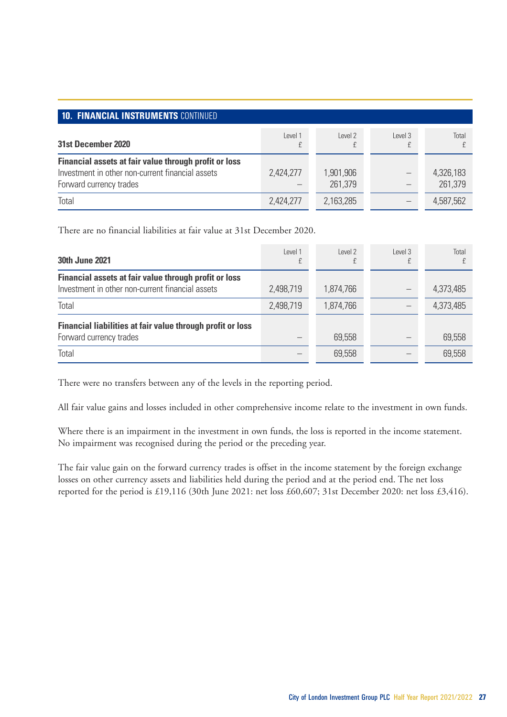| <b>10. FINANCIAL INSTRUMENTS CONTINUED</b>                                                                                           |           |                      |         |                      |  |  |
|--------------------------------------------------------------------------------------------------------------------------------------|-----------|----------------------|---------|----------------------|--|--|
| 31st December 2020                                                                                                                   | I evel 1  | Level 2              | Level 3 | Total                |  |  |
| Financial assets at fair value through profit or loss<br>Investment in other non-current financial assets<br>Forward currency trades | 2.424.277 | 1.901.906<br>261.379 |         | 4,326,183<br>261.379 |  |  |
| Total                                                                                                                                | 2,424,277 | 2,163,285            |         | 4.587.562            |  |  |

There are no financial liabilities at fair value at 31st December 2020.

| <b>30th June 2021</b>                                      | I evel 1  | Level 2   | Level 3 | Total     |
|------------------------------------------------------------|-----------|-----------|---------|-----------|
| Financial assets at fair value through profit or loss      |           |           |         |           |
| Investment in other non-current financial assets           | 2.498.719 | 1.874.766 |         | 4.373.485 |
| Total                                                      | 2.498.719 | 1.874.766 |         | 4.373.485 |
| Financial liabilities at fair value through profit or loss |           |           |         |           |
| Forward currency trades                                    |           | 69.558    |         | 69.558    |
| Total                                                      |           | 69.558    |         | 69.558    |

There were no transfers between any of the levels in the reporting period.

All fair value gains and losses included in other comprehensive income relate to the investment in own funds.

Where there is an impairment in the investment in own funds, the loss is reported in the income statement. No impairment was recognised during the period or the preceding year.

The fair value gain on the forward currency trades is offset in the income statement by the foreign exchange losses on other currency assets and liabilities held during the period and at the period end. The net loss reported for the period is £19,116 (30th June 2021: net loss £60,607; 31st December 2020: net loss £3,416).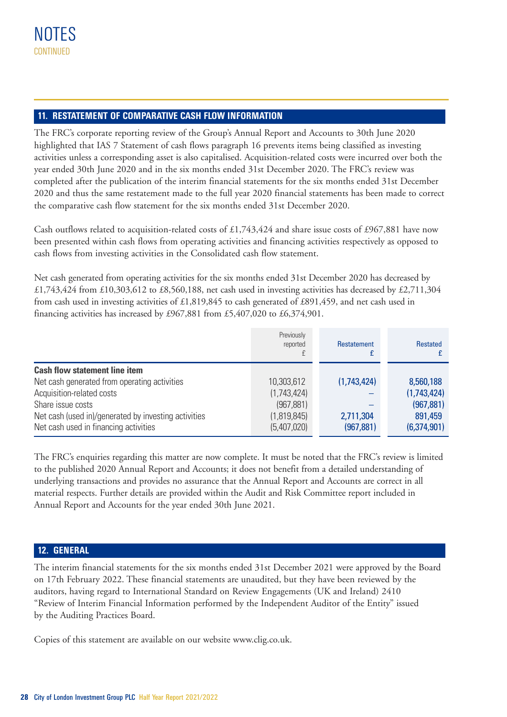# **11. RESTATEMENT OF COMPARATIVE CASH FLOW INFORMATION**

The FRC's corporate reporting review of the Group's Annual Report and Accounts to 30th June 2020 highlighted that IAS 7 Statement of cash flows paragraph 16 prevents items being classified as investing activities unless a corresponding asset is also capitalised. Acquisition-related costs were incurred over both the year ended 30th June 2020 and in the six months ended 31st December 2020. The FRC's review was completed after the publication of the interim financial statements for the six months ended 31st December 2020 and thus the same restatement made to the full year 2020 financial statements has been made to correct the comparative cash flow statement for the six months ended 31st December 2020.

Cash outflows related to acquisition-related costs of £1,743,424 and share issue costs of £967,881 have now been presented within cash flows from operating activities and financing activities respectively as opposed to cash flows from investing activities in the Consolidated cash flow statement.

Net cash generated from operating activities for the six months ended 31st December 2020 has decreased by £1,743,424 from £10,303,612 to £8,560,188, net cash used in investing activities has decreased by £2,711,304 from cash used in investing activities of £1,819,845 to cash generated of £891,459, and net cash used in financing activities has increased by £967,881 from £5,407,020 to £6,374,901.

|                                                      | Previously<br>reported | Restatement | <b>Restated</b> |
|------------------------------------------------------|------------------------|-------------|-----------------|
| <b>Cash flow statement line item</b>                 |                        |             |                 |
| Net cash generated from operating activities         | 10,303,612             | (1,743,424) | 8,560,188       |
| Acquisition-related costs                            | (1,743,424)            |             | (1,743,424)     |
| Share issue costs                                    | (967, 881)             |             | (967, 881)      |
| Net cash (used in)/generated by investing activities | (1,819,845)            | 2,711,304   | 891.459         |
| Net cash used in financing activities                | (5,407,020)            | (967, 881)  | (6,374,901)     |

The FRC's enquiries regarding this matter are now complete. It must be noted that the FRC's review is limited to the published 2020 Annual Report and Accounts; it does not benefit from a detailed understanding of underlying transactions and provides no assurance that the Annual Report and Accounts are correct in all material respects. Further details are provided within the Audit and Risk Committee report included in Annual Report and Accounts for the year ended 30th June 2021.

# **12. GENERAL**

The interim financial statements for the six months ended 31st December 2021 were approved by the Board on 17th February 2022. These financial statements are unaudited, but they have been reviewed by the auditors, having regard to International Standard on Review Engagements (UK and Ireland) 2410 "Review of Interim Financial Information performed by the Independent Auditor of the Entity" issued by the Auditing Practices Board.

Copies of this statement are available on our website www.clig.co.uk.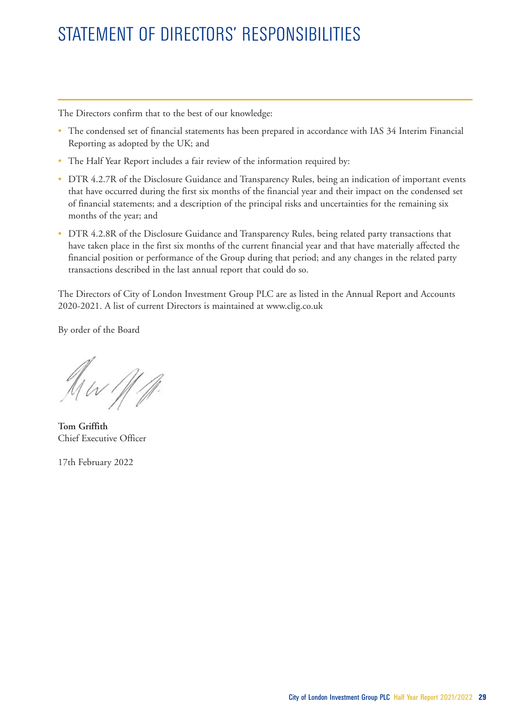# STATEMENT OF DIRECTORS' RESPONSIBILITIES

The Directors confirm that to the best of our knowledge:

- The condensed set of financial statements has been prepared in accordance with IAS 34 Interim Financial Reporting as adopted by the UK; and
- The Half Year Report includes a fair review of the information required by:
- DTR 4.2.7R of the Disclosure Guidance and Transparency Rules, being an indication of important events that have occurred during the first six months of the financial year and their impact on the condensed set of financial statements; and a description of the principal risks and uncertainties for the remaining six months of the year; and
- DTR 4.2.8R of the Disclosure Guidance and Transparency Rules, being related party transactions that have taken place in the first six months of the current financial year and that have materially affected the financial position or performance of the Group during that period; and any changes in the related party transactions described in the last annual report that could do so.

The Directors of City of London Investment Group PLC are as listed in the Annual Report and Accounts 2020-2021. A list of current Directors is maintained at www.clig.co.uk

By order of the Board

Aw 111.

**Tom Griffith**  Chief Executive Officer

17th February 2022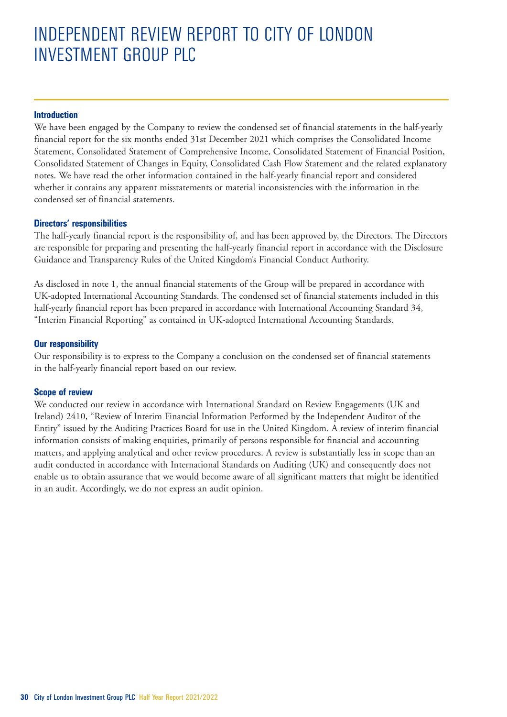# INDEPENDENT REVIEW REPORT TO CITY OF LONDON INVESTMENT GROUP PLC

## **Introduction**

We have been engaged by the Company to review the condensed set of financial statements in the half-yearly financial report for the six months ended 31st December 2021 which comprises the Consolidated Income Statement, Consolidated Statement of Comprehensive Income, Consolidated Statement of Financial Position, Consolidated Statement of Changes in Equity, Consolidated Cash Flow Statement and the related explanatory notes. We have read the other information contained in the half-yearly financial report and considered whether it contains any apparent misstatements or material inconsistencies with the information in the condensed set of financial statements.

# **Directors' responsibilities**

The half-yearly financial report is the responsibility of, and has been approved by, the Directors. The Directors are responsible for preparing and presenting the half-yearly financial report in accordance with the Disclosure Guidance and Transparency Rules of the United Kingdom's Financial Conduct Authority.

As disclosed in note 1, the annual financial statements of the Group will be prepared in accordance with UK-adopted International Accounting Standards. The condensed set of financial statements included in this half-yearly financial report has been prepared in accordance with International Accounting Standard 34, "Interim Financial Reporting" as contained in UK-adopted International Accounting Standards.

# **Our responsibility**

Our responsibility is to express to the Company a conclusion on the condensed set of financial statements in the half-yearly financial report based on our review.

## **Scope of review**

We conducted our review in accordance with International Standard on Review Engagements (UK and Ireland) 2410, "Review of Interim Financial Information Performed by the Independent Auditor of the Entity" issued by the Auditing Practices Board for use in the United Kingdom. A review of interim financial information consists of making enquiries, primarily of persons responsible for financial and accounting matters, and applying analytical and other review procedures. A review is substantially less in scope than an audit conducted in accordance with International Standards on Auditing (UK) and consequently does not enable us to obtain assurance that we would become aware of all significant matters that might be identified in an audit. Accordingly, we do not express an audit opinion.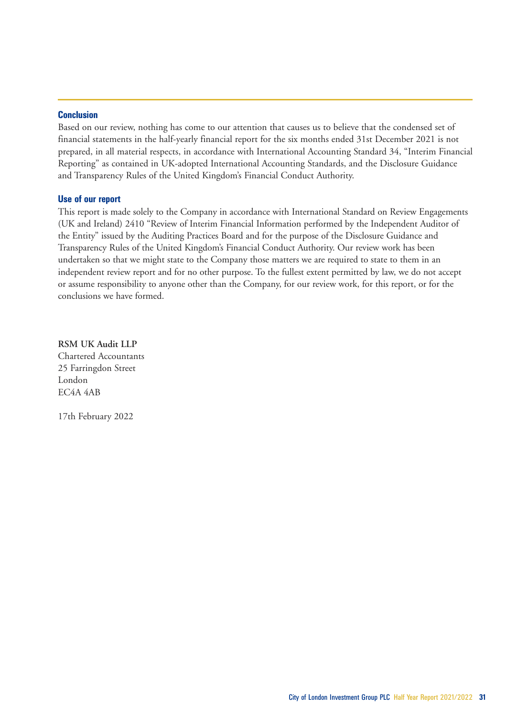#### **Conclusion**

Based on our review, nothing has come to our attention that causes us to believe that the condensed set of financial statements in the half-yearly financial report for the six months ended 31st December 2021 is not prepared, in all material respects, in accordance with International Accounting Standard 34, "Interim Financial Reporting" as contained in UK-adopted International Accounting Standards, and the Disclosure Guidance and Transparency Rules of the United Kingdom's Financial Conduct Authority.

# **Use of our report**

This report is made solely to the Company in accordance with International Standard on Review Engagements (UK and Ireland) 2410 "Review of Interim Financial Information performed by the Independent Auditor of the Entity" issued by the Auditing Practices Board and for the purpose of the Disclosure Guidance and Transparency Rules of the United Kingdom's Financial Conduct Authority. Our review work has been undertaken so that we might state to the Company those matters we are required to state to them in an independent review report and for no other purpose. To the fullest extent permitted by law, we do not accept or assume responsibility to anyone other than the Company, for our review work, for this report, or for the conclusions we have formed.

**RSM UK Audit LLP** Chartered Accountants 25 Farringdon Street London EC4A 4AB

17th February 2022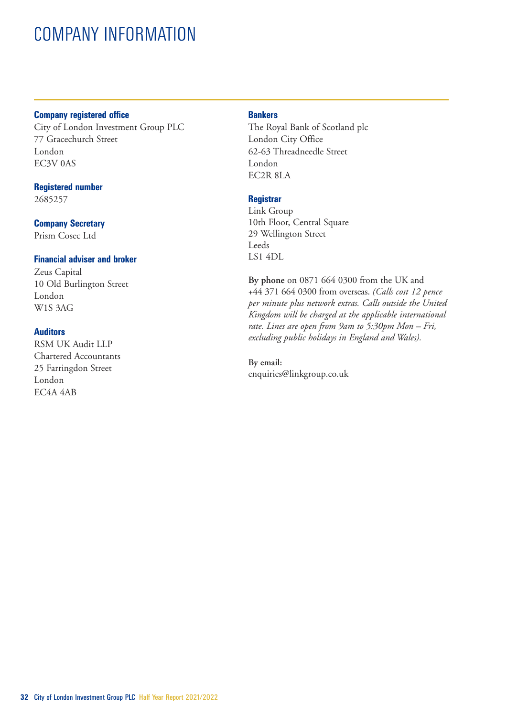# COMPANY INFORMATION

## **Company registered office**

City of London Investment Group PLC 77 Gracechurch Street London EC3V 0AS

## **Registered number**

2685257

## **Company Secretary**

Prism Cosec Ltd

# **Financial adviser and broker**

Zeus Capital 10 Old Burlington Street London W1S 3AG

# **Auditors**

RSM UK Audit LLP Chartered Accountants 25 Farringdon Street London EC4A 4AB

## **Bankers**

The Royal Bank of Scotland plc London City Office 62-63 Threadneedle Street London EC2R 8LA

# **Registrar**

Link Group 10th Floor, Central Square 29 Wellington Street **Leeds** LS1 4DL

**By phone** on 0871 664 0300 from the UK and +44 371 664 0300 from overseas. *(Calls cost 12 pence per minute plus network extras. Calls outside the United Kingdom will be charged at the applicable international rate. Lines are open from 9am to 5:30pm Mon – Fri, excluding public holidays in England and Wales).*

**By email:** enquiries@linkgroup.co.uk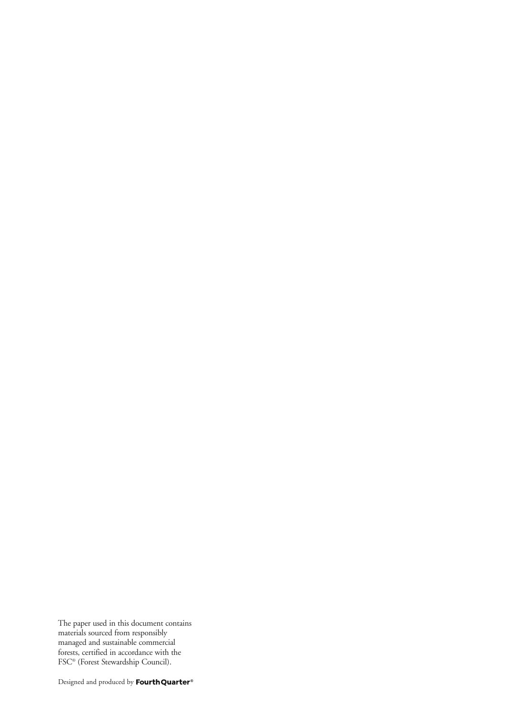The paper used in this document contains materials sourced from responsibly managed and sustainable commercial forests, certified in accordance with the FSC® (Forest Stewardship Council).

Designed and produced by Fourth Quarter®